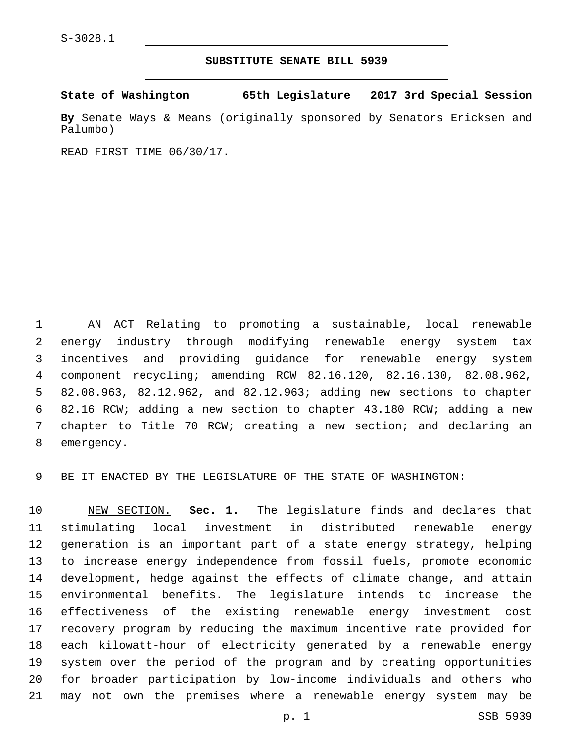## **SUBSTITUTE SENATE BILL 5939**

**State of Washington 65th Legislature 2017 3rd Special Session**

**By** Senate Ways & Means (originally sponsored by Senators Ericksen and Palumbo)

READ FIRST TIME 06/30/17.

 AN ACT Relating to promoting a sustainable, local renewable energy industry through modifying renewable energy system tax incentives and providing guidance for renewable energy system component recycling; amending RCW 82.16.120, 82.16.130, 82.08.962, 82.08.963, 82.12.962, and 82.12.963; adding new sections to chapter 82.16 RCW; adding a new section to chapter 43.180 RCW; adding a new chapter to Title 70 RCW; creating a new section; and declaring an 8 emergency.

BE IT ENACTED BY THE LEGISLATURE OF THE STATE OF WASHINGTON:

 NEW SECTION. **Sec. 1.** The legislature finds and declares that stimulating local investment in distributed renewable energy generation is an important part of a state energy strategy, helping to increase energy independence from fossil fuels, promote economic development, hedge against the effects of climate change, and attain environmental benefits. The legislature intends to increase the effectiveness of the existing renewable energy investment cost recovery program by reducing the maximum incentive rate provided for each kilowatt-hour of electricity generated by a renewable energy system over the period of the program and by creating opportunities for broader participation by low-income individuals and others who may not own the premises where a renewable energy system may be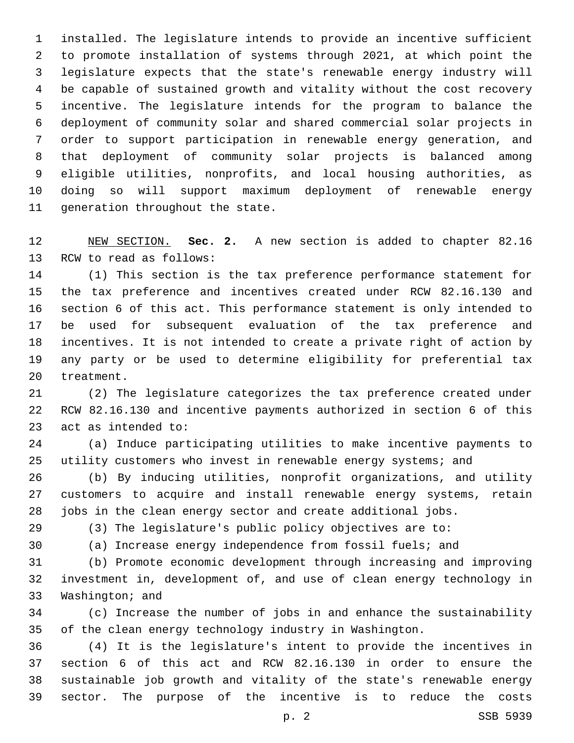installed. The legislature intends to provide an incentive sufficient to promote installation of systems through 2021, at which point the legislature expects that the state's renewable energy industry will be capable of sustained growth and vitality without the cost recovery incentive. The legislature intends for the program to balance the deployment of community solar and shared commercial solar projects in order to support participation in renewable energy generation, and that deployment of community solar projects is balanced among eligible utilities, nonprofits, and local housing authorities, as doing so will support maximum deployment of renewable energy 11 generation throughout the state.

 NEW SECTION. **Sec. 2.** A new section is added to chapter 82.16 13 RCW to read as follows:

 (1) This section is the tax preference performance statement for the tax preference and incentives created under RCW 82.16.130 and section 6 of this act. This performance statement is only intended to be used for subsequent evaluation of the tax preference and incentives. It is not intended to create a private right of action by any party or be used to determine eligibility for preferential tax 20 treatment.

 (2) The legislature categorizes the tax preference created under RCW 82.16.130 and incentive payments authorized in section 6 of this 23 act as intended to:

 (a) Induce participating utilities to make incentive payments to utility customers who invest in renewable energy systems; and

 (b) By inducing utilities, nonprofit organizations, and utility customers to acquire and install renewable energy systems, retain jobs in the clean energy sector and create additional jobs.

(3) The legislature's public policy objectives are to:

(a) Increase energy independence from fossil fuels; and

 (b) Promote economic development through increasing and improving investment in, development of, and use of clean energy technology in 33 Washington; and

 (c) Increase the number of jobs in and enhance the sustainability of the clean energy technology industry in Washington.

 (4) It is the legislature's intent to provide the incentives in section 6 of this act and RCW 82.16.130 in order to ensure the sustainable job growth and vitality of the state's renewable energy sector. The purpose of the incentive is to reduce the costs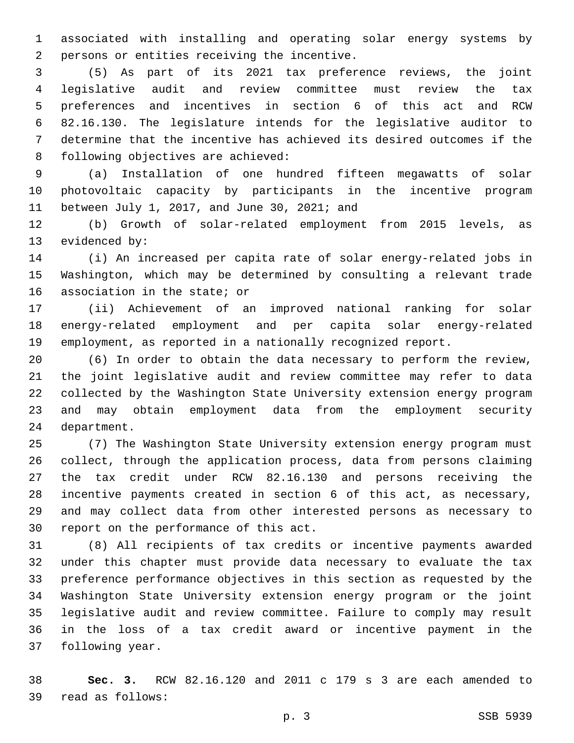associated with installing and operating solar energy systems by 2 persons or entities receiving the incentive.

 (5) As part of its 2021 tax preference reviews, the joint legislative audit and review committee must review the tax preferences and incentives in section 6 of this act and RCW 82.16.130. The legislature intends for the legislative auditor to determine that the incentive has achieved its desired outcomes if the 8 following objectives are achieved:

 (a) Installation of one hundred fifteen megawatts of solar photovoltaic capacity by participants in the incentive program 11 between July 1, 2017, and June 30, 2021; and

 (b) Growth of solar-related employment from 2015 levels, as 13 evidenced by:

 (i) An increased per capita rate of solar energy-related jobs in Washington, which may be determined by consulting a relevant trade 16 association in the state; or

 (ii) Achievement of an improved national ranking for solar energy-related employment and per capita solar energy-related employment, as reported in a nationally recognized report.

 (6) In order to obtain the data necessary to perform the review, the joint legislative audit and review committee may refer to data collected by the Washington State University extension energy program and may obtain employment data from the employment security 24 department.

 (7) The Washington State University extension energy program must collect, through the application process, data from persons claiming the tax credit under RCW 82.16.130 and persons receiving the incentive payments created in section 6 of this act, as necessary, and may collect data from other interested persons as necessary to 30 report on the performance of this act.

 (8) All recipients of tax credits or incentive payments awarded under this chapter must provide data necessary to evaluate the tax preference performance objectives in this section as requested by the Washington State University extension energy program or the joint legislative audit and review committee. Failure to comply may result in the loss of a tax credit award or incentive payment in the 37 following year.

 **Sec. 3.** RCW 82.16.120 and 2011 c 179 s 3 are each amended to read as follows:39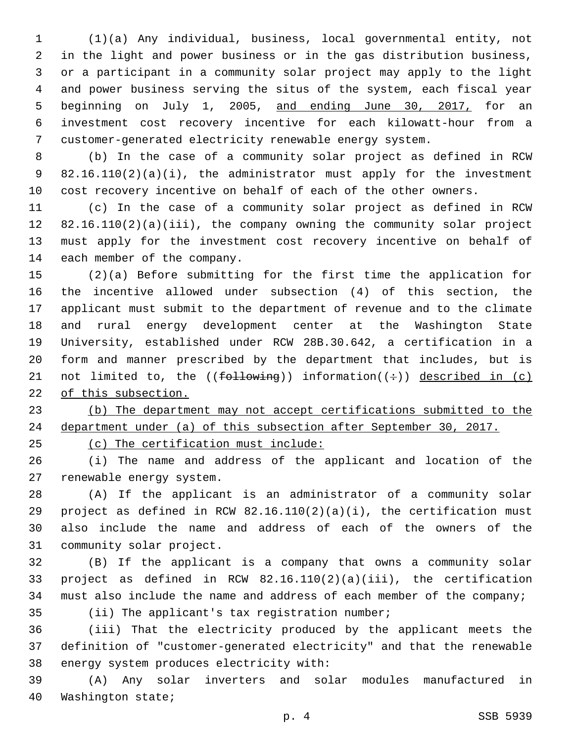(1)(a) Any individual, business, local governmental entity, not in the light and power business or in the gas distribution business, or a participant in a community solar project may apply to the light and power business serving the situs of the system, each fiscal year 5 beginning on July 1, 2005, and ending June 30, 2017, for an investment cost recovery incentive for each kilowatt-hour from a customer-generated electricity renewable energy system.

 (b) In the case of a community solar project as defined in RCW 82.16.110(2)(a)(i), the administrator must apply for the investment cost recovery incentive on behalf of each of the other owners.

 (c) In the case of a community solar project as defined in RCW 82.16.110(2)(a)(iii), the company owning the community solar project must apply for the investment cost recovery incentive on behalf of 14 each member of the company.

 (2)(a) Before submitting for the first time the application for the incentive allowed under subsection (4) of this section, the applicant must submit to the department of revenue and to the climate and rural energy development center at the Washington State University, established under RCW 28B.30.642, a certification in a form and manner prescribed by the department that includes, but is 21 not limited to, the (( $f$ ollowing)) information( $(\div)$ ) described in (c) of this subsection.

 (b) The department may not accept certifications submitted to the department under (a) of this subsection after September 30, 2017.

(c) The certification must include:

 (i) The name and address of the applicant and location of the 27 renewable energy system.

 (A) If the applicant is an administrator of a community solar project as defined in RCW 82.16.110(2)(a)(i), the certification must also include the name and address of each of the owners of the 31 community solar project.

 (B) If the applicant is a company that owns a community solar project as defined in RCW 82.16.110(2)(a)(iii), the certification 34 must also include the name and address of each member of the company;

35 (ii) The applicant's tax registration number;

 (iii) That the electricity produced by the applicant meets the definition of "customer-generated electricity" and that the renewable 38 energy system produces electricity with:

 (A) Any solar inverters and solar modules manufactured in 40 Washington state;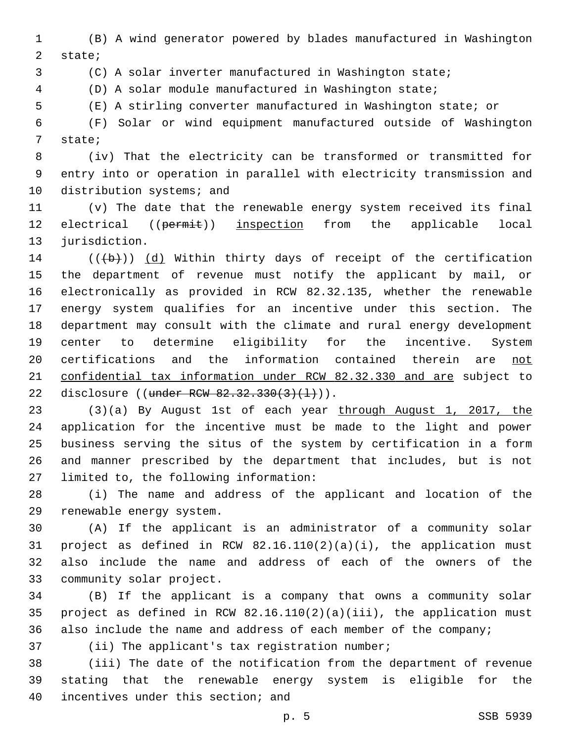(B) A wind generator powered by blades manufactured in Washington 2 state;

(C) A solar inverter manufactured in Washington state;

(D) A solar module manufactured in Washington state;

(E) A stirling converter manufactured in Washington state; or

 (F) Solar or wind equipment manufactured outside of Washington 7 state;

 (iv) That the electricity can be transformed or transmitted for entry into or operation in parallel with electricity transmission and 10 distribution systems; and

 (v) The date that the renewable energy system received its final 12 electrical ((permit)) inspection from the applicable local 13 jurisdiction.

 (( $\left(\frac{1}{2}\right)$ ) (d) Within thirty days of receipt of the certification the department of revenue must notify the applicant by mail, or electronically as provided in RCW 82.32.135, whether the renewable energy system qualifies for an incentive under this section. The department may consult with the climate and rural energy development center to determine eligibility for the incentive. System 20 certifications and the information contained therein are not confidential tax information under RCW 82.32.330 and are subject to 22 disclosure ((under RCW 82.32.330(3)(1))).

 (3)(a) By August 1st of each year through August 1, 2017, the application for the incentive must be made to the light and power business serving the situs of the system by certification in a form and manner prescribed by the department that includes, but is not 27 limited to, the following information:

 (i) The name and address of the applicant and location of the 29 renewable energy system.

 (A) If the applicant is an administrator of a community solar project as defined in RCW 82.16.110(2)(a)(i), the application must also include the name and address of each of the owners of the 33 community solar project.

 (B) If the applicant is a company that owns a community solar project as defined in RCW 82.16.110(2)(a)(iii), the application must also include the name and address of each member of the company;

37 (ii) The applicant's tax registration number;

 (iii) The date of the notification from the department of revenue stating that the renewable energy system is eligible for the 40 incentives under this section; and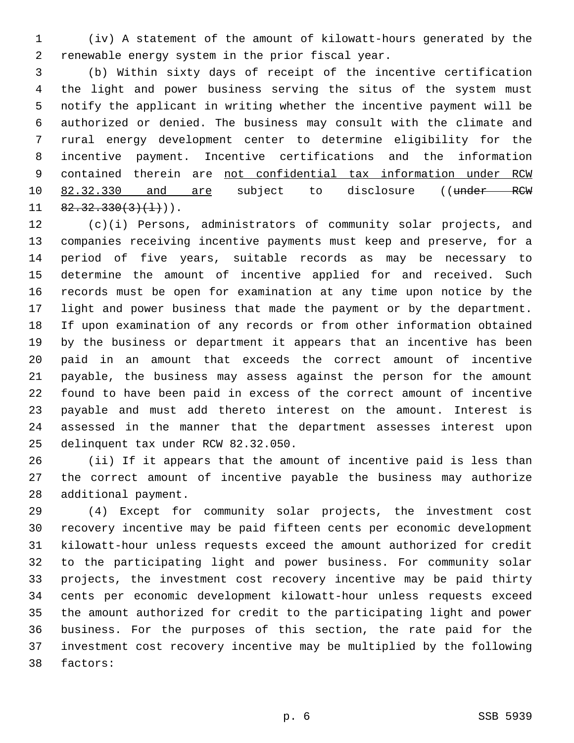(iv) A statement of the amount of kilowatt-hours generated by the 2 renewable energy system in the prior fiscal year.

 (b) Within sixty days of receipt of the incentive certification the light and power business serving the situs of the system must notify the applicant in writing whether the incentive payment will be authorized or denied. The business may consult with the climate and rural energy development center to determine eligibility for the incentive payment. Incentive certifications and the information contained therein are not confidential tax information under RCW 10 82.32.330 and are subject to disclosure ((under RCW  $11 \quad 82.32.330(3)(1)$ ).

 (c)(i) Persons, administrators of community solar projects, and companies receiving incentive payments must keep and preserve, for a period of five years, suitable records as may be necessary to determine the amount of incentive applied for and received. Such records must be open for examination at any time upon notice by the light and power business that made the payment or by the department. If upon examination of any records or from other information obtained by the business or department it appears that an incentive has been paid in an amount that exceeds the correct amount of incentive payable, the business may assess against the person for the amount found to have been paid in excess of the correct amount of incentive payable and must add thereto interest on the amount. Interest is assessed in the manner that the department assesses interest upon 25 delinquent tax under RCW 82.32.050.

 (ii) If it appears that the amount of incentive paid is less than the correct amount of incentive payable the business may authorize 28 additional payment.

 (4) Except for community solar projects, the investment cost recovery incentive may be paid fifteen cents per economic development kilowatt-hour unless requests exceed the amount authorized for credit to the participating light and power business. For community solar projects, the investment cost recovery incentive may be paid thirty cents per economic development kilowatt-hour unless requests exceed the amount authorized for credit to the participating light and power business. For the purposes of this section, the rate paid for the investment cost recovery incentive may be multiplied by the following 38 factors: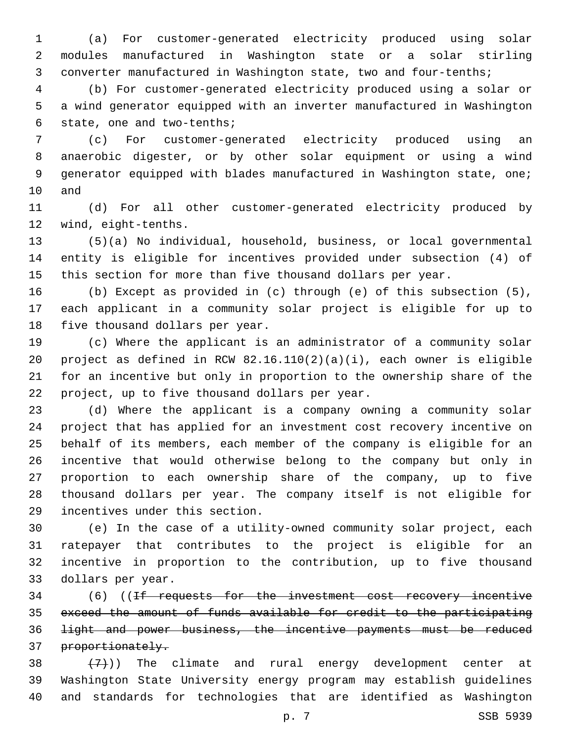(a) For customer-generated electricity produced using solar modules manufactured in Washington state or a solar stirling converter manufactured in Washington state, two and four-tenths;

 (b) For customer-generated electricity produced using a solar or a wind generator equipped with an inverter manufactured in Washington 6 state, one and two-tenths;

 (c) For customer-generated electricity produced using an anaerobic digester, or by other solar equipment or using a wind generator equipped with blades manufactured in Washington state, one; 10 and

 (d) For all other customer-generated electricity produced by 12 wind, eight-tenths.

 (5)(a) No individual, household, business, or local governmental entity is eligible for incentives provided under subsection (4) of this section for more than five thousand dollars per year.

 (b) Except as provided in (c) through (e) of this subsection (5), each applicant in a community solar project is eligible for up to 18 five thousand dollars per year.

 (c) Where the applicant is an administrator of a community solar project as defined in RCW 82.16.110(2)(a)(i), each owner is eligible for an incentive but only in proportion to the ownership share of the 22 project, up to five thousand dollars per year.

 (d) Where the applicant is a company owning a community solar project that has applied for an investment cost recovery incentive on behalf of its members, each member of the company is eligible for an incentive that would otherwise belong to the company but only in proportion to each ownership share of the company, up to five thousand dollars per year. The company itself is not eligible for 29 incentives under this section.

 (e) In the case of a utility-owned community solar project, each ratepayer that contributes to the project is eligible for an incentive in proportion to the contribution, up to five thousand 33 dollars per year.

 (6) ((If requests for the investment cost recovery incentive exceed the amount of funds available for credit to the participating light and power business, the incentive payments must be reduced 37 proportionately.

 $(38 + (7))$  The climate and rural energy development center at Washington State University energy program may establish guidelines and standards for technologies that are identified as Washington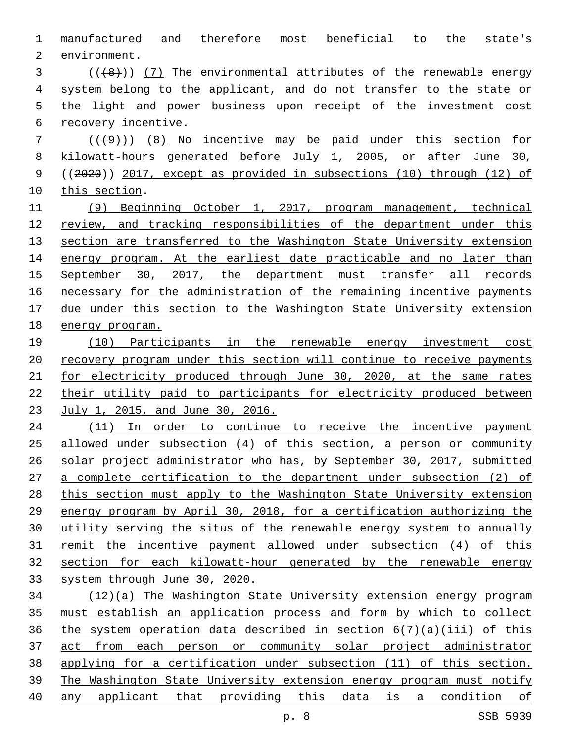manufactured and therefore most beneficial to the state's 2 environment.

 ( $(\frac{48}{})$ ) (7) The environmental attributes of the renewable energy system belong to the applicant, and do not transfer to the state or the light and power business upon receipt of the investment cost 6 recovery incentive.

 ( $(\frac{49}{1})$ ) (8) No incentive may be paid under this section for kilowatt-hours generated before July 1, 2005, or after June 30, ((2020)) 2017, except as provided in subsections (10) through (12) of 10 this section.

 (9) Beginning October 1, 2017, program management, technical review, and tracking responsibilities of the department under this 13 section are transferred to the Washington State University extension 14 energy program. At the earliest date practicable and no later than September 30, 2017, the department must transfer all records necessary for the administration of the remaining incentive payments due under this section to the Washington State University extension energy program.

 (10) Participants in the renewable energy investment cost recovery program under this section will continue to receive payments 21 for electricity produced through June 30, 2020, at the same rates their utility paid to participants for electricity produced between July 1, 2015, and June 30, 2016.

24 (11) In order to continue to receive the incentive payment allowed under subsection (4) of this section, a person or community solar project administrator who has, by September 30, 2017, submitted a complete certification to the department under subsection (2) of this section must apply to the Washington State University extension energy program by April 30, 2018, for a certification authorizing the utility serving the situs of the renewable energy system to annually remit the incentive payment allowed under subsection (4) of this section for each kilowatt-hour generated by the renewable energy system through June 30, 2020.

 (12)(a) The Washington State University extension energy program must establish an application process and form by which to collect 36 the system operation data described in section  $6(7)(a)(iii)$  of this act from each person or community solar project administrator applying for a certification under subsection (11) of this section. The Washington State University extension energy program must notify any applicant that providing this data is a condition of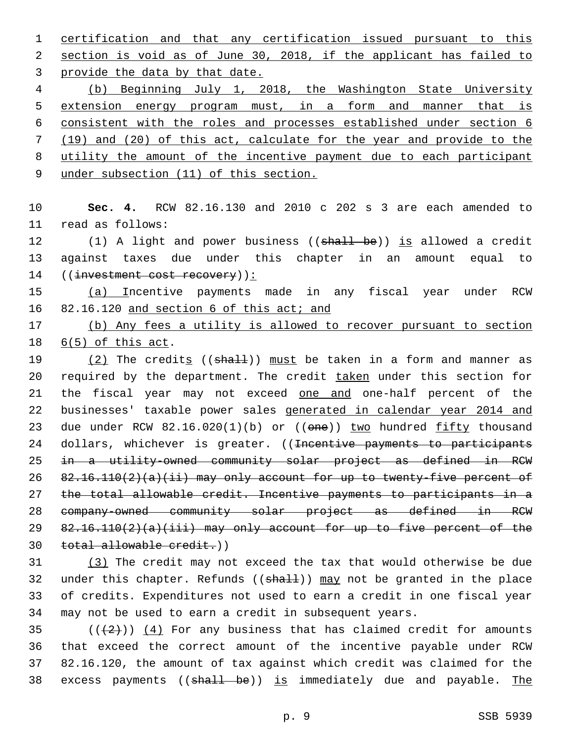certification and that any certification issued pursuant to this section is void as of June 30, 2018, if the applicant has failed to 3 provide the data by that date.

 (b) Beginning July 1, 2018, the Washington State University extension energy program must, in a form and manner that is consistent with the roles and processes established under section 6 (19) and (20) of this act, calculate for the year and provide to the utility the amount of the incentive payment due to each participant

under subsection (11) of this section.

 **Sec. 4.** RCW 82.16.130 and 2010 c 202 s 3 are each amended to 11 read as follows:

12 (1) A light and power business ((shall be)) is allowed a credit against taxes due under this chapter in an amount equal to 14 ((investment cost recovery)):

 (a) Incentive payments made in any fiscal year under RCW 16 82.16.120 and section 6 of this act; and

 (b) Any fees a utility is allowed to recover pursuant to section 18  $6(5)$  of this act.

 $(2)$  The credits (( $shall$ )) must be taken in a form and manner as 20 required by the department. The credit taken under this section for 21 the fiscal year may not exceed one and one-half percent of the businesses' taxable power sales generated in calendar year 2014 and 23 due under RCW 82.16.020(1)(b) or ((one)) two hundred fifty thousand 24 dollars, whichever is greater. ((<del>Incentive payments to participants</del> in a utility-owned community solar project as defined in RCW 82.16.110(2)(a)(ii) may only account for up to twenty-five percent of the total allowable credit. Incentive payments to participants in a company-owned community solar project as defined in RCW  $82.16.110(2)(a)(iii)$  may only account for up to five percent of the total allowable credit.))

 (3) The credit may not exceed the tax that would otherwise be due 32 under this chapter. Refunds  $((shall))$  may not be granted in the place of credits. Expenditures not used to earn a credit in one fiscal year may not be used to earn a credit in subsequent years.

 $((+2+))$   $(4)$  For any business that has claimed credit for amounts that exceed the correct amount of the incentive payable under RCW 82.16.120, the amount of tax against which credit was claimed for the 38 excess payments ((shall be)) is immediately due and payable. The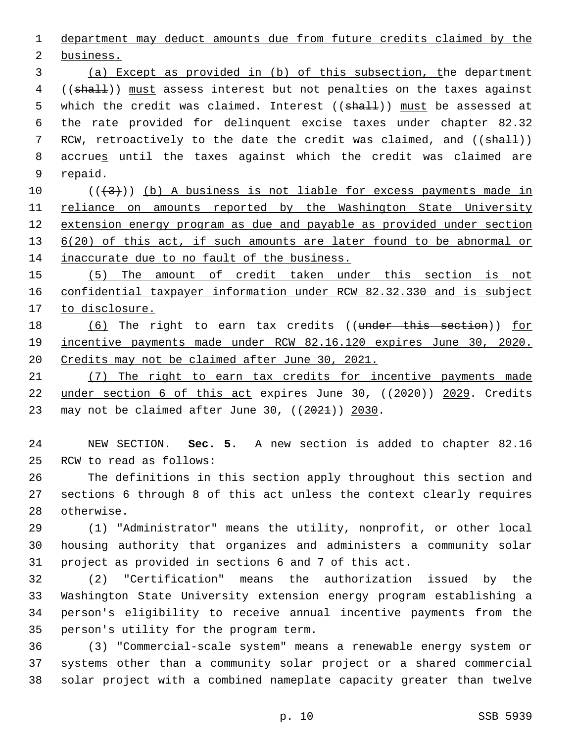department may deduct amounts due from future credits claimed by the

2 business.

 (a) Except as provided in (b) of this subsection, the department 4 ((shall)) must assess interest but not penalties on the taxes against 5 which the credit was claimed. Interest ((shall)) must be assessed at the rate provided for delinquent excise taxes under chapter 82.32 7 RCW, retroactively to the date the credit was claimed, and ((shall)) accrues until the taxes against which the credit was claimed are 9 repaid.

 ( $(\frac{43}{})$ ) (b) A business is not liable for excess payments made in 11 reliance on amounts reported by the Washington State University extension energy program as due and payable as provided under section 13 6(20) of this act, if such amounts are later found to be abnormal or 14 inaccurate due to no fault of the business.

 (5) The amount of credit taken under this section is not confidential taxpayer information under RCW 82.32.330 and is subject 17 to disclosure.

18 (6) The right to earn tax credits ((under this section)) for incentive payments made under RCW 82.16.120 expires June 30, 2020. Credits may not be claimed after June 30, 2021.

 (7) The right to earn tax credits for incentive payments made under section 6 of this act expires June 30, ((2020)) 2029. Credits 23 may not be claimed after June 30,  $((2021))$  2030.

 NEW SECTION. **Sec. 5.** A new section is added to chapter 82.16 25 RCW to read as follows:

 The definitions in this section apply throughout this section and sections 6 through 8 of this act unless the context clearly requires 28 otherwise.

 (1) "Administrator" means the utility, nonprofit, or other local housing authority that organizes and administers a community solar project as provided in sections 6 and 7 of this act.

 (2) "Certification" means the authorization issued by the Washington State University extension energy program establishing a person's eligibility to receive annual incentive payments from the 35 person's utility for the program term.

 (3) "Commercial-scale system" means a renewable energy system or systems other than a community solar project or a shared commercial solar project with a combined nameplate capacity greater than twelve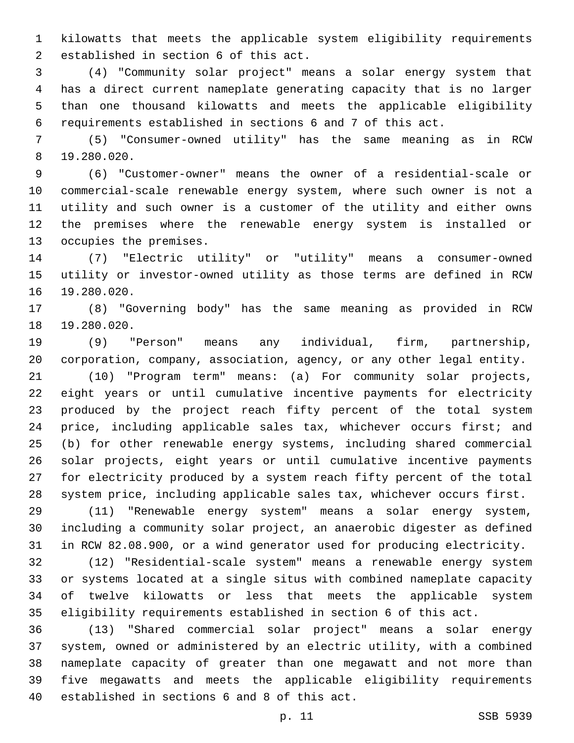kilowatts that meets the applicable system eligibility requirements 2 established in section 6 of this act.

 (4) "Community solar project" means a solar energy system that has a direct current nameplate generating capacity that is no larger than one thousand kilowatts and meets the applicable eligibility requirements established in sections 6 and 7 of this act.

 (5) "Consumer-owned utility" has the same meaning as in RCW 19.280.020.8

 (6) "Customer-owner" means the owner of a residential-scale or commercial-scale renewable energy system, where such owner is not a utility and such owner is a customer of the utility and either owns the premises where the renewable energy system is installed or 13 occupies the premises.

 (7) "Electric utility" or "utility" means a consumer-owned utility or investor-owned utility as those terms are defined in RCW 16 19.280.020.

 (8) "Governing body" has the same meaning as provided in RCW 18 19.280.020.

 (9) "Person" means any individual, firm, partnership, corporation, company, association, agency, or any other legal entity.

 (10) "Program term" means: (a) For community solar projects, eight years or until cumulative incentive payments for electricity produced by the project reach fifty percent of the total system price, including applicable sales tax, whichever occurs first; and (b) for other renewable energy systems, including shared commercial solar projects, eight years or until cumulative incentive payments for electricity produced by a system reach fifty percent of the total system price, including applicable sales tax, whichever occurs first.

 (11) "Renewable energy system" means a solar energy system, including a community solar project, an anaerobic digester as defined in RCW 82.08.900, or a wind generator used for producing electricity.

 (12) "Residential-scale system" means a renewable energy system or systems located at a single situs with combined nameplate capacity of twelve kilowatts or less that meets the applicable system eligibility requirements established in section 6 of this act.

 (13) "Shared commercial solar project" means a solar energy system, owned or administered by an electric utility, with a combined nameplate capacity of greater than one megawatt and not more than five megawatts and meets the applicable eligibility requirements 40 established in sections 6 and 8 of this act.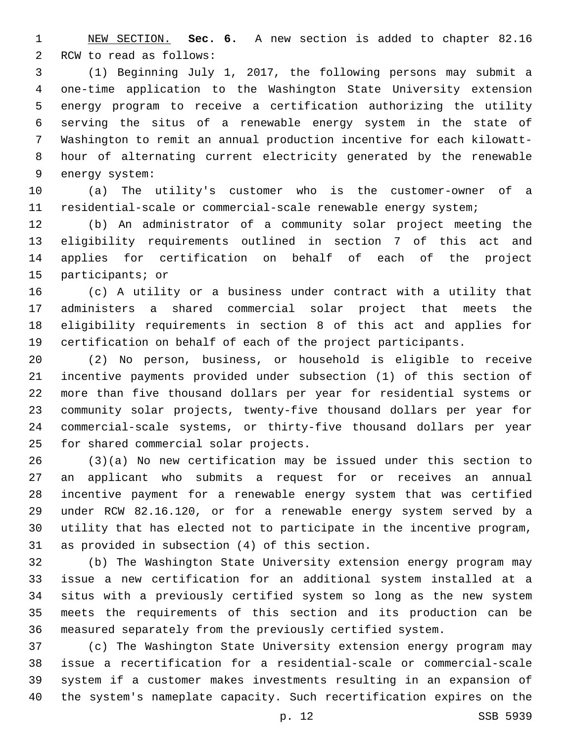NEW SECTION. **Sec. 6.** A new section is added to chapter 82.16 2 RCW to read as follows:

 (1) Beginning July 1, 2017, the following persons may submit a one-time application to the Washington State University extension energy program to receive a certification authorizing the utility serving the situs of a renewable energy system in the state of Washington to remit an annual production incentive for each kilowatt- hour of alternating current electricity generated by the renewable 9 energy system:

 (a) The utility's customer who is the customer-owner of a residential-scale or commercial-scale renewable energy system;

 (b) An administrator of a community solar project meeting the eligibility requirements outlined in section 7 of this act and applies for certification on behalf of each of the project 15 participants; or

 (c) A utility or a business under contract with a utility that administers a shared commercial solar project that meets the eligibility requirements in section 8 of this act and applies for certification on behalf of each of the project participants.

 (2) No person, business, or household is eligible to receive incentive payments provided under subsection (1) of this section of more than five thousand dollars per year for residential systems or community solar projects, twenty-five thousand dollars per year for commercial-scale systems, or thirty-five thousand dollars per year 25 for shared commercial solar projects.

 (3)(a) No new certification may be issued under this section to an applicant who submits a request for or receives an annual incentive payment for a renewable energy system that was certified under RCW 82.16.120, or for a renewable energy system served by a utility that has elected not to participate in the incentive program, 31 as provided in subsection (4) of this section.

 (b) The Washington State University extension energy program may issue a new certification for an additional system installed at a situs with a previously certified system so long as the new system meets the requirements of this section and its production can be measured separately from the previously certified system.

 (c) The Washington State University extension energy program may issue a recertification for a residential-scale or commercial-scale system if a customer makes investments resulting in an expansion of the system's nameplate capacity. Such recertification expires on the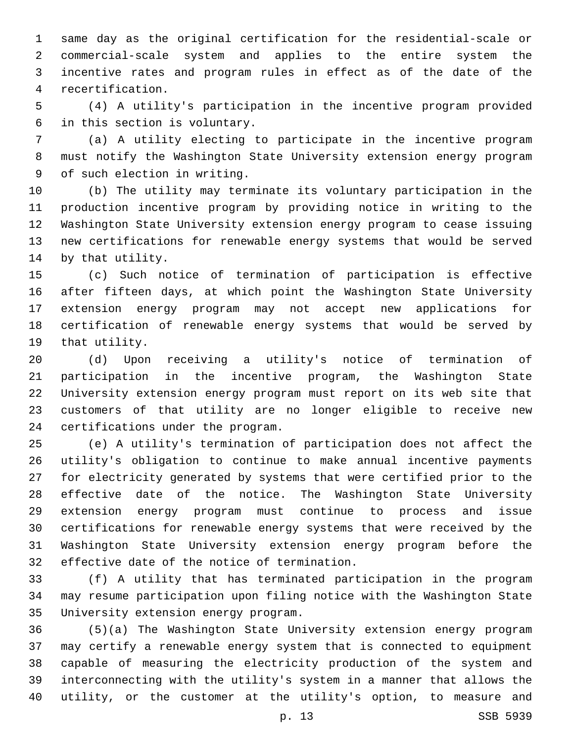same day as the original certification for the residential-scale or commercial-scale system and applies to the entire system the incentive rates and program rules in effect as of the date of the recertification.4

 (4) A utility's participation in the incentive program provided 6 in this section is voluntary.

 (a) A utility electing to participate in the incentive program must notify the Washington State University extension energy program 9 of such election in writing.

 (b) The utility may terminate its voluntary participation in the production incentive program by providing notice in writing to the Washington State University extension energy program to cease issuing new certifications for renewable energy systems that would be served 14 by that utility.

 (c) Such notice of termination of participation is effective after fifteen days, at which point the Washington State University extension energy program may not accept new applications for certification of renewable energy systems that would be served by 19 that utility.

 (d) Upon receiving a utility's notice of termination of participation in the incentive program, the Washington State University extension energy program must report on its web site that customers of that utility are no longer eligible to receive new 24 certifications under the program.

 (e) A utility's termination of participation does not affect the utility's obligation to continue to make annual incentive payments for electricity generated by systems that were certified prior to the effective date of the notice. The Washington State University extension energy program must continue to process and issue certifications for renewable energy systems that were received by the Washington State University extension energy program before the 32 effective date of the notice of termination.

 (f) A utility that has terminated participation in the program may resume participation upon filing notice with the Washington State 35 University extension energy program.

 (5)(a) The Washington State University extension energy program may certify a renewable energy system that is connected to equipment capable of measuring the electricity production of the system and interconnecting with the utility's system in a manner that allows the utility, or the customer at the utility's option, to measure and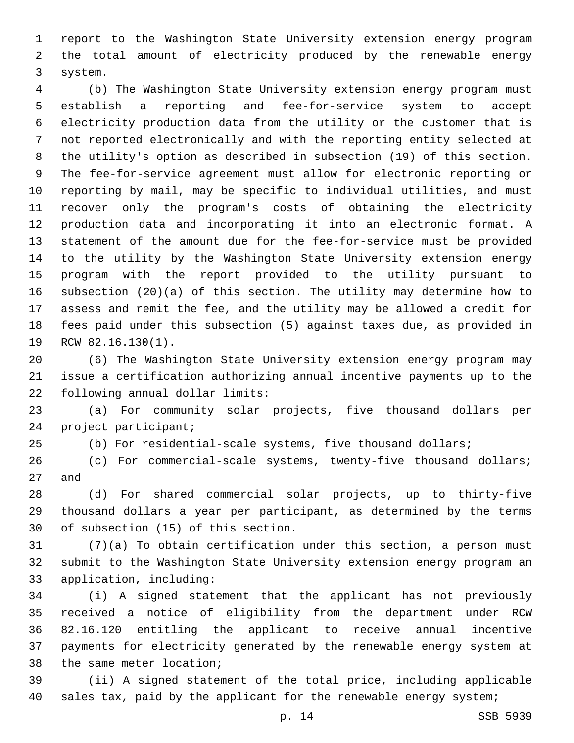report to the Washington State University extension energy program the total amount of electricity produced by the renewable energy 3 system.

 (b) The Washington State University extension energy program must establish a reporting and fee-for-service system to accept electricity production data from the utility or the customer that is not reported electronically and with the reporting entity selected at the utility's option as described in subsection (19) of this section. The fee-for-service agreement must allow for electronic reporting or reporting by mail, may be specific to individual utilities, and must recover only the program's costs of obtaining the electricity production data and incorporating it into an electronic format. A statement of the amount due for the fee-for-service must be provided to the utility by the Washington State University extension energy program with the report provided to the utility pursuant to subsection (20)(a) of this section. The utility may determine how to assess and remit the fee, and the utility may be allowed a credit for fees paid under this subsection (5) against taxes due, as provided in 19 RCW 82.16.130(1).

 (6) The Washington State University extension energy program may issue a certification authorizing annual incentive payments up to the 22 following annual dollar limits:

 (a) For community solar projects, five thousand dollars per 24 project participant;

(b) For residential-scale systems, five thousand dollars;

 (c) For commercial-scale systems, twenty-five thousand dollars; 27 and

 (d) For shared commercial solar projects, up to thirty-five thousand dollars a year per participant, as determined by the terms 30 of subsection (15) of this section.

 (7)(a) To obtain certification under this section, a person must submit to the Washington State University extension energy program an 33 application, including:

 (i) A signed statement that the applicant has not previously received a notice of eligibility from the department under RCW 82.16.120 entitling the applicant to receive annual incentive payments for electricity generated by the renewable energy system at 38 the same meter location;

 (ii) A signed statement of the total price, including applicable 40 sales tax, paid by the applicant for the renewable energy system;

p. 14 SSB 5939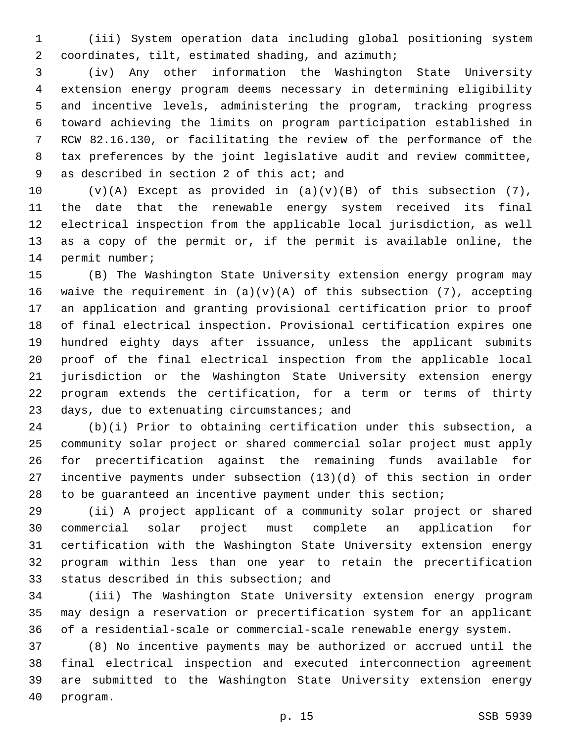(iii) System operation data including global positioning system coordinates, tilt, estimated shading, and azimuth;2

 (iv) Any other information the Washington State University extension energy program deems necessary in determining eligibility and incentive levels, administering the program, tracking progress toward achieving the limits on program participation established in RCW 82.16.130, or facilitating the review of the performance of the tax preferences by the joint legislative audit and review committee, 9 as described in section 2 of this act; and

 $(v)(A)$  Except as provided in  $(a)(v)(B)$  of this subsection (7), the date that the renewable energy system received its final electrical inspection from the applicable local jurisdiction, as well as a copy of the permit or, if the permit is available online, the 14 permit number;

 (B) The Washington State University extension energy program may 16 waive the requirement in  $(a)(v)(A)$  of this subsection (7), accepting an application and granting provisional certification prior to proof of final electrical inspection. Provisional certification expires one hundred eighty days after issuance, unless the applicant submits proof of the final electrical inspection from the applicable local jurisdiction or the Washington State University extension energy program extends the certification, for a term or terms of thirty 23 days, due to extenuating circumstances; and

 (b)(i) Prior to obtaining certification under this subsection, a community solar project or shared commercial solar project must apply for precertification against the remaining funds available for incentive payments under subsection (13)(d) of this section in order to be guaranteed an incentive payment under this section;

 (ii) A project applicant of a community solar project or shared commercial solar project must complete an application for certification with the Washington State University extension energy program within less than one year to retain the precertification 33 status described in this subsection; and

 (iii) The Washington State University extension energy program may design a reservation or precertification system for an applicant of a residential-scale or commercial-scale renewable energy system.

 (8) No incentive payments may be authorized or accrued until the final electrical inspection and executed interconnection agreement are submitted to the Washington State University extension energy 40 program.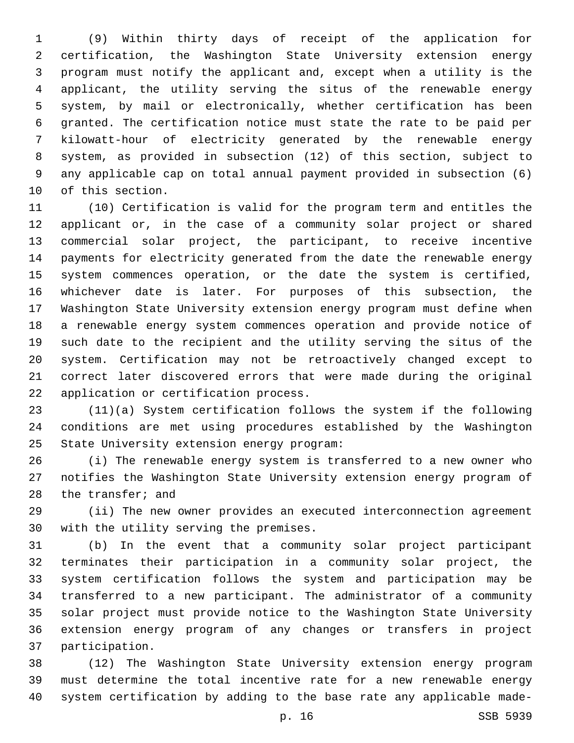(9) Within thirty days of receipt of the application for certification, the Washington State University extension energy program must notify the applicant and, except when a utility is the applicant, the utility serving the situs of the renewable energy system, by mail or electronically, whether certification has been granted. The certification notice must state the rate to be paid per kilowatt-hour of electricity generated by the renewable energy system, as provided in subsection (12) of this section, subject to any applicable cap on total annual payment provided in subsection (6) 10 of this section.

 (10) Certification is valid for the program term and entitles the applicant or, in the case of a community solar project or shared commercial solar project, the participant, to receive incentive payments for electricity generated from the date the renewable energy system commences operation, or the date the system is certified, whichever date is later. For purposes of this subsection, the Washington State University extension energy program must define when a renewable energy system commences operation and provide notice of such date to the recipient and the utility serving the situs of the system. Certification may not be retroactively changed except to correct later discovered errors that were made during the original 22 application or certification process.

 (11)(a) System certification follows the system if the following conditions are met using procedures established by the Washington 25 State University extension energy program:

 (i) The renewable energy system is transferred to a new owner who notifies the Washington State University extension energy program of 28 the transfer; and

 (ii) The new owner provides an executed interconnection agreement 30 with the utility serving the premises.

 (b) In the event that a community solar project participant terminates their participation in a community solar project, the system certification follows the system and participation may be transferred to a new participant. The administrator of a community solar project must provide notice to the Washington State University extension energy program of any changes or transfers in project 37 participation.

 (12) The Washington State University extension energy program must determine the total incentive rate for a new renewable energy system certification by adding to the base rate any applicable made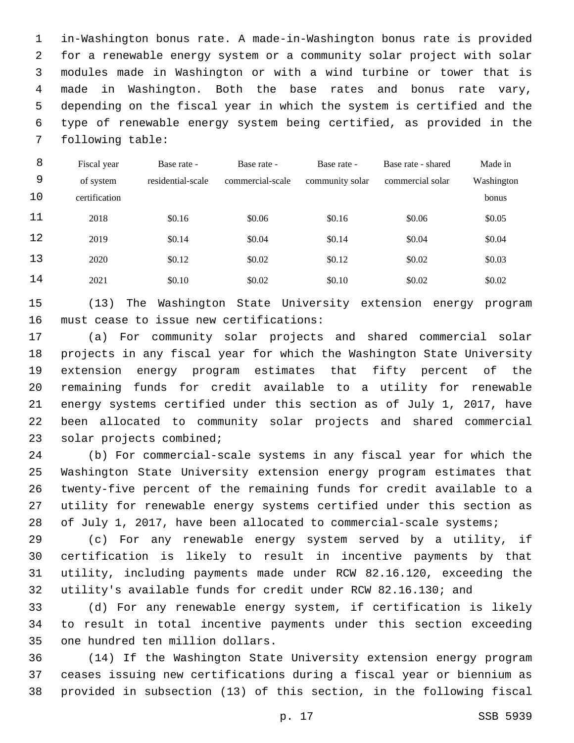in-Washington bonus rate. A made-in-Washington bonus rate is provided for a renewable energy system or a community solar project with solar modules made in Washington or with a wind turbine or tower that is made in Washington. Both the base rates and bonus rate vary, depending on the fiscal year in which the system is certified and the type of renewable energy system being certified, as provided in the 7 following table:

| 8  | Fiscal year   | Base rate -       | Base rate -      | Base rate -     | Base rate - shared | Made in    |
|----|---------------|-------------------|------------------|-----------------|--------------------|------------|
| 9  | of system     | residential-scale | commercial-scale | community solar | commercial solar   | Washington |
| 10 | certification |                   |                  |                 |                    | bonus      |
| 11 | 2018          | \$0.16            | \$0.06           | \$0.16          | \$0.06             | \$0.05     |
| 12 | 2019          | \$0.14            | \$0.04           | \$0.14          | \$0.04             | \$0.04     |
| 13 | 2020          | \$0.12            | \$0.02           | \$0.12          | \$0.02             | \$0.03     |
| 14 | 2021          | \$0.10            | \$0.02           | \$0.10          | \$0.02             | \$0.02     |

 (13) The Washington State University extension energy program 16 must cease to issue new certifications:

 (a) For community solar projects and shared commercial solar projects in any fiscal year for which the Washington State University extension energy program estimates that fifty percent of the remaining funds for credit available to a utility for renewable energy systems certified under this section as of July 1, 2017, have been allocated to community solar projects and shared commercial 23 solar projects combined;

 (b) For commercial-scale systems in any fiscal year for which the Washington State University extension energy program estimates that twenty-five percent of the remaining funds for credit available to a utility for renewable energy systems certified under this section as 28 of July 1, 2017, have been allocated to commercial-scale systems;

 (c) For any renewable energy system served by a utility, if certification is likely to result in incentive payments by that utility, including payments made under RCW 82.16.120, exceeding the utility's available funds for credit under RCW 82.16.130; and

 (d) For any renewable energy system, if certification is likely to result in total incentive payments under this section exceeding 35 one hundred ten million dollars.

 (14) If the Washington State University extension energy program ceases issuing new certifications during a fiscal year or biennium as provided in subsection (13) of this section, in the following fiscal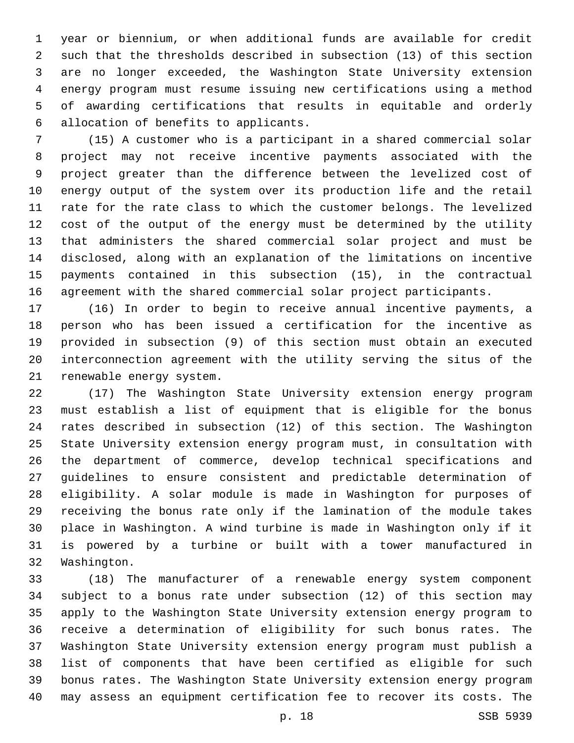year or biennium, or when additional funds are available for credit such that the thresholds described in subsection (13) of this section are no longer exceeded, the Washington State University extension energy program must resume issuing new certifications using a method of awarding certifications that results in equitable and orderly allocation of benefits to applicants.6

 (15) A customer who is a participant in a shared commercial solar project may not receive incentive payments associated with the project greater than the difference between the levelized cost of energy output of the system over its production life and the retail rate for the rate class to which the customer belongs. The levelized cost of the output of the energy must be determined by the utility that administers the shared commercial solar project and must be disclosed, along with an explanation of the limitations on incentive payments contained in this subsection (15), in the contractual agreement with the shared commercial solar project participants.

 (16) In order to begin to receive annual incentive payments, a person who has been issued a certification for the incentive as provided in subsection (9) of this section must obtain an executed interconnection agreement with the utility serving the situs of the 21 renewable energy system.

 (17) The Washington State University extension energy program must establish a list of equipment that is eligible for the bonus rates described in subsection (12) of this section. The Washington State University extension energy program must, in consultation with the department of commerce, develop technical specifications and guidelines to ensure consistent and predictable determination of eligibility. A solar module is made in Washington for purposes of receiving the bonus rate only if the lamination of the module takes place in Washington. A wind turbine is made in Washington only if it is powered by a turbine or built with a tower manufactured in 32 Washington.

 (18) The manufacturer of a renewable energy system component subject to a bonus rate under subsection (12) of this section may apply to the Washington State University extension energy program to receive a determination of eligibility for such bonus rates. The Washington State University extension energy program must publish a list of components that have been certified as eligible for such bonus rates. The Washington State University extension energy program may assess an equipment certification fee to recover its costs. The

p. 18 SSB 5939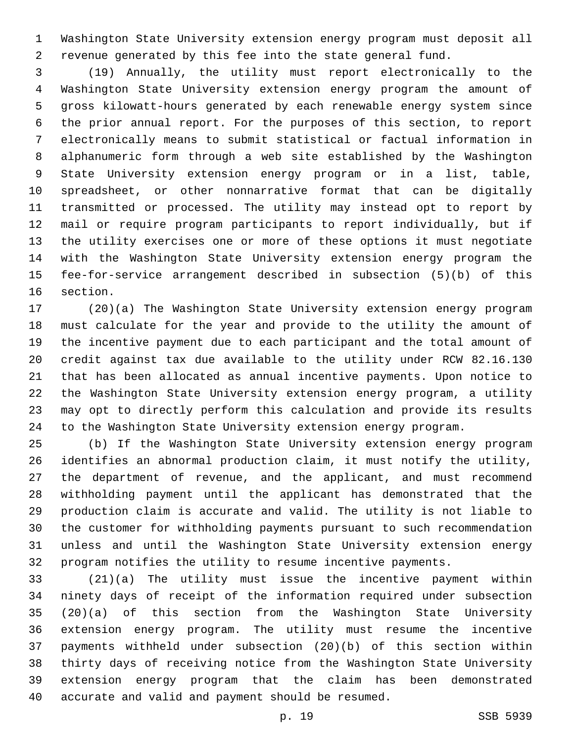Washington State University extension energy program must deposit all revenue generated by this fee into the state general fund.

 (19) Annually, the utility must report electronically to the Washington State University extension energy program the amount of gross kilowatt-hours generated by each renewable energy system since the prior annual report. For the purposes of this section, to report electronically means to submit statistical or factual information in alphanumeric form through a web site established by the Washington State University extension energy program or in a list, table, spreadsheet, or other nonnarrative format that can be digitally transmitted or processed. The utility may instead opt to report by mail or require program participants to report individually, but if the utility exercises one or more of these options it must negotiate with the Washington State University extension energy program the fee-for-service arrangement described in subsection (5)(b) of this 16 section.

 (20)(a) The Washington State University extension energy program must calculate for the year and provide to the utility the amount of the incentive payment due to each participant and the total amount of credit against tax due available to the utility under RCW 82.16.130 that has been allocated as annual incentive payments. Upon notice to the Washington State University extension energy program, a utility may opt to directly perform this calculation and provide its results to the Washington State University extension energy program.

 (b) If the Washington State University extension energy program identifies an abnormal production claim, it must notify the utility, the department of revenue, and the applicant, and must recommend withholding payment until the applicant has demonstrated that the production claim is accurate and valid. The utility is not liable to the customer for withholding payments pursuant to such recommendation unless and until the Washington State University extension energy program notifies the utility to resume incentive payments.

 (21)(a) The utility must issue the incentive payment within ninety days of receipt of the information required under subsection (20)(a) of this section from the Washington State University extension energy program. The utility must resume the incentive payments withheld under subsection (20)(b) of this section within thirty days of receiving notice from the Washington State University extension energy program that the claim has been demonstrated 40 accurate and valid and payment should be resumed.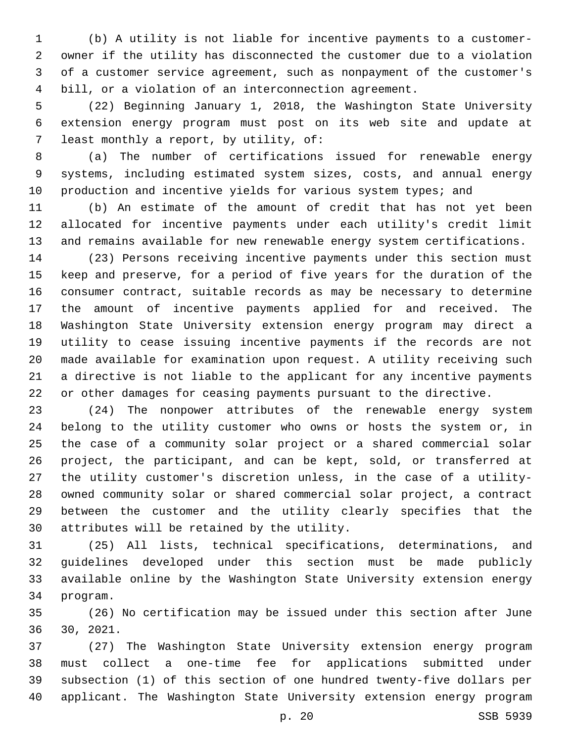(b) A utility is not liable for incentive payments to a customer- owner if the utility has disconnected the customer due to a violation of a customer service agreement, such as nonpayment of the customer's bill, or a violation of an interconnection agreement.

 (22) Beginning January 1, 2018, the Washington State University extension energy program must post on its web site and update at 7 least monthly a report, by utility, of:

 (a) The number of certifications issued for renewable energy systems, including estimated system sizes, costs, and annual energy 10 production and incentive yields for various system types; and

 (b) An estimate of the amount of credit that has not yet been allocated for incentive payments under each utility's credit limit and remains available for new renewable energy system certifications.

 (23) Persons receiving incentive payments under this section must keep and preserve, for a period of five years for the duration of the consumer contract, suitable records as may be necessary to determine the amount of incentive payments applied for and received. The Washington State University extension energy program may direct a utility to cease issuing incentive payments if the records are not made available for examination upon request. A utility receiving such a directive is not liable to the applicant for any incentive payments or other damages for ceasing payments pursuant to the directive.

 (24) The nonpower attributes of the renewable energy system belong to the utility customer who owns or hosts the system or, in the case of a community solar project or a shared commercial solar project, the participant, and can be kept, sold, or transferred at the utility customer's discretion unless, in the case of a utility- owned community solar or shared commercial solar project, a contract between the customer and the utility clearly specifies that the 30 attributes will be retained by the utility.

 (25) All lists, technical specifications, determinations, and guidelines developed under this section must be made publicly available online by the Washington State University extension energy 34 program.

 (26) No certification may be issued under this section after June 30, 2021.

 (27) The Washington State University extension energy program must collect a one-time fee for applications submitted under subsection (1) of this section of one hundred twenty-five dollars per applicant. The Washington State University extension energy program

p. 20 SSB 5939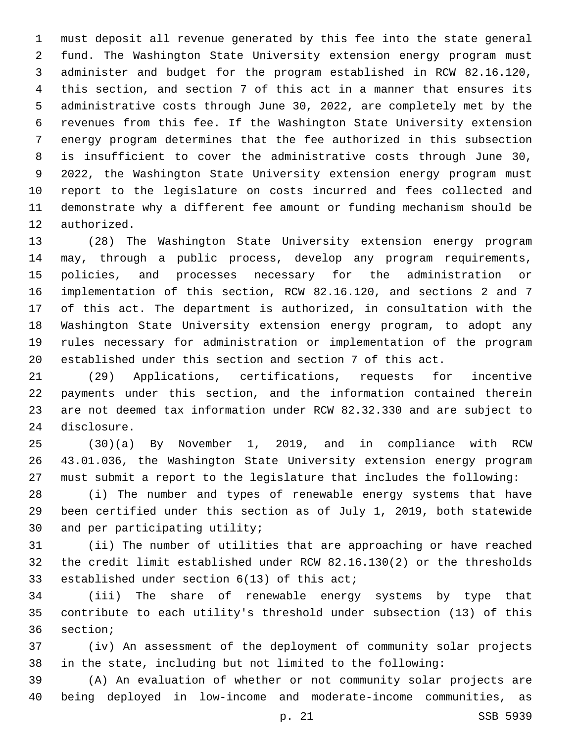must deposit all revenue generated by this fee into the state general fund. The Washington State University extension energy program must administer and budget for the program established in RCW 82.16.120, this section, and section 7 of this act in a manner that ensures its administrative costs through June 30, 2022, are completely met by the revenues from this fee. If the Washington State University extension energy program determines that the fee authorized in this subsection is insufficient to cover the administrative costs through June 30, 2022, the Washington State University extension energy program must report to the legislature on costs incurred and fees collected and demonstrate why a different fee amount or funding mechanism should be 12 authorized.

 (28) The Washington State University extension energy program may, through a public process, develop any program requirements, policies, and processes necessary for the administration or implementation of this section, RCW 82.16.120, and sections 2 and 7 of this act. The department is authorized, in consultation with the Washington State University extension energy program, to adopt any rules necessary for administration or implementation of the program established under this section and section 7 of this act.

 (29) Applications, certifications, requests for incentive payments under this section, and the information contained therein are not deemed tax information under RCW 82.32.330 and are subject to 24 disclosure.

 (30)(a) By November 1, 2019, and in compliance with RCW 43.01.036, the Washington State University extension energy program must submit a report to the legislature that includes the following:

 (i) The number and types of renewable energy systems that have been certified under this section as of July 1, 2019, both statewide 30 and per participating utility;

 (ii) The number of utilities that are approaching or have reached the credit limit established under RCW 82.16.130(2) or the thresholds 33 established under section 6(13) of this act;

 (iii) The share of renewable energy systems by type that contribute to each utility's threshold under subsection (13) of this 36 section;

 (iv) An assessment of the deployment of community solar projects in the state, including but not limited to the following:

 (A) An evaluation of whether or not community solar projects are being deployed in low-income and moderate-income communities, as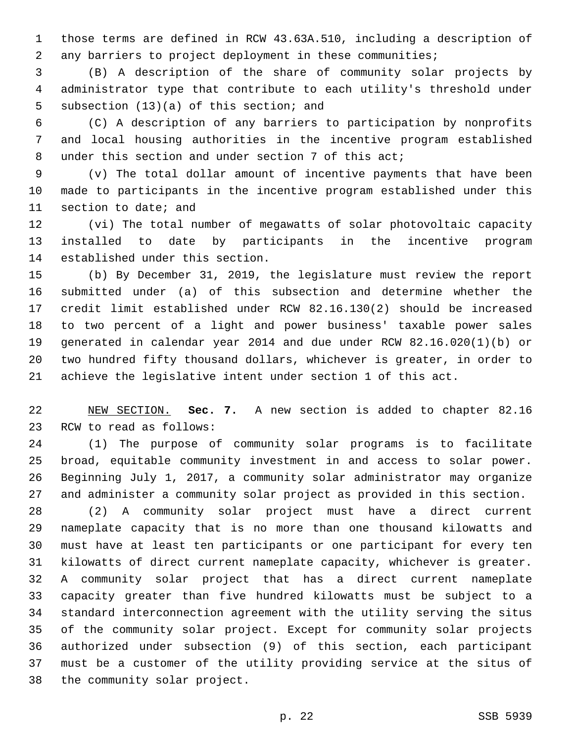those terms are defined in RCW 43.63A.510, including a description of any barriers to project deployment in these communities;

 (B) A description of the share of community solar projects by administrator type that contribute to each utility's threshold under 5 subsection (13)(a) of this section; and

 (C) A description of any barriers to participation by nonprofits and local housing authorities in the incentive program established under this section and under section 7 of this act;

 (v) The total dollar amount of incentive payments that have been made to participants in the incentive program established under this 11 section to date; and

 (vi) The total number of megawatts of solar photovoltaic capacity installed to date by participants in the incentive program 14 established under this section.

 (b) By December 31, 2019, the legislature must review the report submitted under (a) of this subsection and determine whether the credit limit established under RCW 82.16.130(2) should be increased to two percent of a light and power business' taxable power sales generated in calendar year 2014 and due under RCW 82.16.020(1)(b) or two hundred fifty thousand dollars, whichever is greater, in order to achieve the legislative intent under section 1 of this act.

 NEW SECTION. **Sec. 7.** A new section is added to chapter 82.16 23 RCW to read as follows:

 (1) The purpose of community solar programs is to facilitate broad, equitable community investment in and access to solar power. Beginning July 1, 2017, a community solar administrator may organize and administer a community solar project as provided in this section.

 (2) A community solar project must have a direct current nameplate capacity that is no more than one thousand kilowatts and must have at least ten participants or one participant for every ten kilowatts of direct current nameplate capacity, whichever is greater. A community solar project that has a direct current nameplate capacity greater than five hundred kilowatts must be subject to a standard interconnection agreement with the utility serving the situs of the community solar project. Except for community solar projects authorized under subsection (9) of this section, each participant must be a customer of the utility providing service at the situs of 38 the community solar project.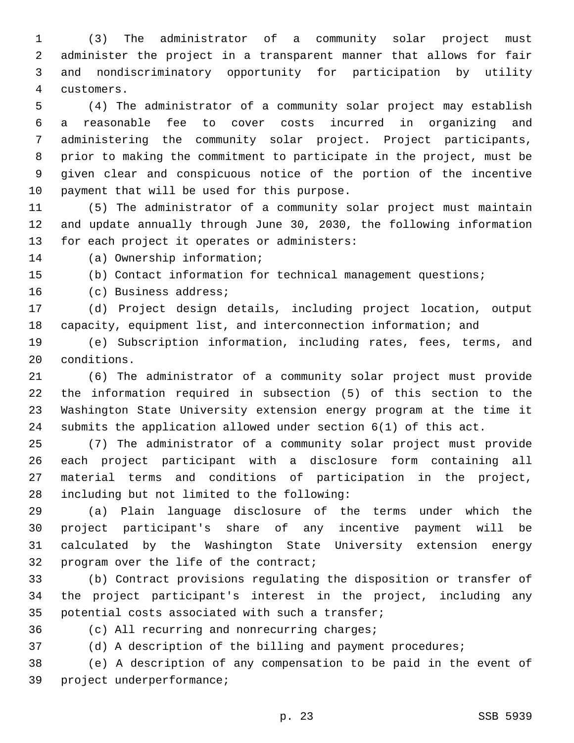(3) The administrator of a community solar project must administer the project in a transparent manner that allows for fair and nondiscriminatory opportunity for participation by utility customers.4

 (4) The administrator of a community solar project may establish a reasonable fee to cover costs incurred in organizing and administering the community solar project. Project participants, prior to making the commitment to participate in the project, must be given clear and conspicuous notice of the portion of the incentive 10 payment that will be used for this purpose.

 (5) The administrator of a community solar project must maintain and update annually through June 30, 2030, the following information 13 for each project it operates or administers:

14 (a) Ownership information;

(b) Contact information for technical management questions;

16 (c) Business address;

 (d) Project design details, including project location, output capacity, equipment list, and interconnection information; and

 (e) Subscription information, including rates, fees, terms, and 20 conditions.

 (6) The administrator of a community solar project must provide the information required in subsection (5) of this section to the Washington State University extension energy program at the time it submits the application allowed under section 6(1) of this act.

 (7) The administrator of a community solar project must provide each project participant with a disclosure form containing all material terms and conditions of participation in the project, 28 including but not limited to the following:

 (a) Plain language disclosure of the terms under which the project participant's share of any incentive payment will be calculated by the Washington State University extension energy 32 program over the life of the contract;

 (b) Contract provisions regulating the disposition or transfer of the project participant's interest in the project, including any 35 potential costs associated with such a transfer;

36 (c) All recurring and nonrecurring charges;

(d) A description of the billing and payment procedures;

 (e) A description of any compensation to be paid in the event of 39 project underperformance;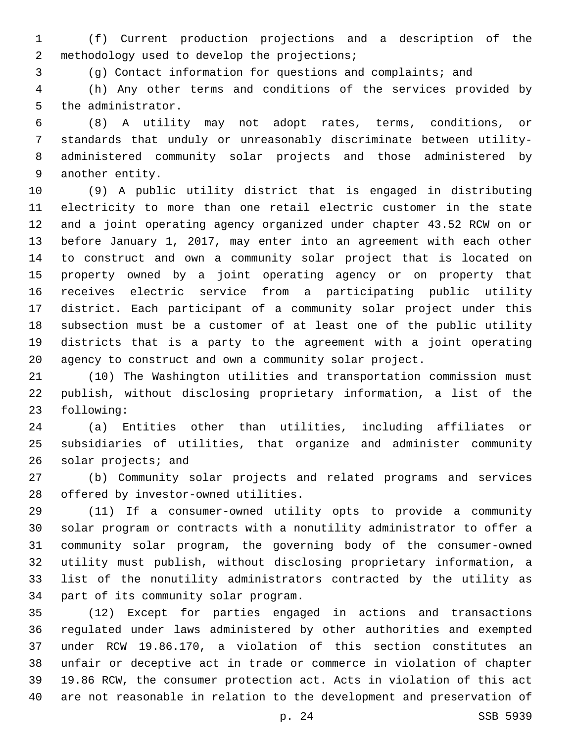(f) Current production projections and a description of the 2 methodology used to develop the projections;

(g) Contact information for questions and complaints; and

 (h) Any other terms and conditions of the services provided by 5 the administrator.

 (8) A utility may not adopt rates, terms, conditions, or standards that unduly or unreasonably discriminate between utility- administered community solar projects and those administered by 9 another entity.

 (9) A public utility district that is engaged in distributing electricity to more than one retail electric customer in the state and a joint operating agency organized under chapter 43.52 RCW on or before January 1, 2017, may enter into an agreement with each other to construct and own a community solar project that is located on property owned by a joint operating agency or on property that receives electric service from a participating public utility district. Each participant of a community solar project under this subsection must be a customer of at least one of the public utility districts that is a party to the agreement with a joint operating agency to construct and own a community solar project.

 (10) The Washington utilities and transportation commission must publish, without disclosing proprietary information, a list of the 23 following:

 (a) Entities other than utilities, including affiliates or subsidiaries of utilities, that organize and administer community 26 solar projects; and

 (b) Community solar projects and related programs and services 28 offered by investor-owned utilities.

 (11) If a consumer-owned utility opts to provide a community solar program or contracts with a nonutility administrator to offer a community solar program, the governing body of the consumer-owned utility must publish, without disclosing proprietary information, a list of the nonutility administrators contracted by the utility as 34 part of its community solar program.

 (12) Except for parties engaged in actions and transactions regulated under laws administered by other authorities and exempted under RCW 19.86.170, a violation of this section constitutes an unfair or deceptive act in trade or commerce in violation of chapter 19.86 RCW, the consumer protection act. Acts in violation of this act are not reasonable in relation to the development and preservation of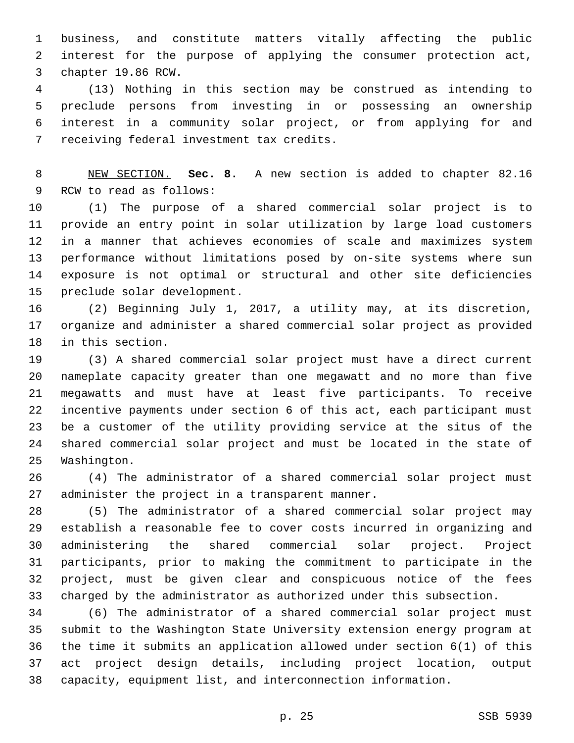business, and constitute matters vitally affecting the public interest for the purpose of applying the consumer protection act, 3 chapter 19.86 RCW.

 (13) Nothing in this section may be construed as intending to preclude persons from investing in or possessing an ownership interest in a community solar project, or from applying for and 7 receiving federal investment tax credits.

 NEW SECTION. **Sec. 8.** A new section is added to chapter 82.16 9 RCW to read as follows:

 (1) The purpose of a shared commercial solar project is to provide an entry point in solar utilization by large load customers in a manner that achieves economies of scale and maximizes system performance without limitations posed by on-site systems where sun exposure is not optimal or structural and other site deficiencies 15 preclude solar development.

 (2) Beginning July 1, 2017, a utility may, at its discretion, organize and administer a shared commercial solar project as provided 18 in this section.

 (3) A shared commercial solar project must have a direct current nameplate capacity greater than one megawatt and no more than five megawatts and must have at least five participants. To receive incentive payments under section 6 of this act, each participant must be a customer of the utility providing service at the situs of the shared commercial solar project and must be located in the state of 25 Washington.

 (4) The administrator of a shared commercial solar project must 27 administer the project in a transparent manner.

 (5) The administrator of a shared commercial solar project may establish a reasonable fee to cover costs incurred in organizing and administering the shared commercial solar project. Project participants, prior to making the commitment to participate in the project, must be given clear and conspicuous notice of the fees charged by the administrator as authorized under this subsection.

 (6) The administrator of a shared commercial solar project must submit to the Washington State University extension energy program at the time it submits an application allowed under section 6(1) of this act project design details, including project location, output capacity, equipment list, and interconnection information.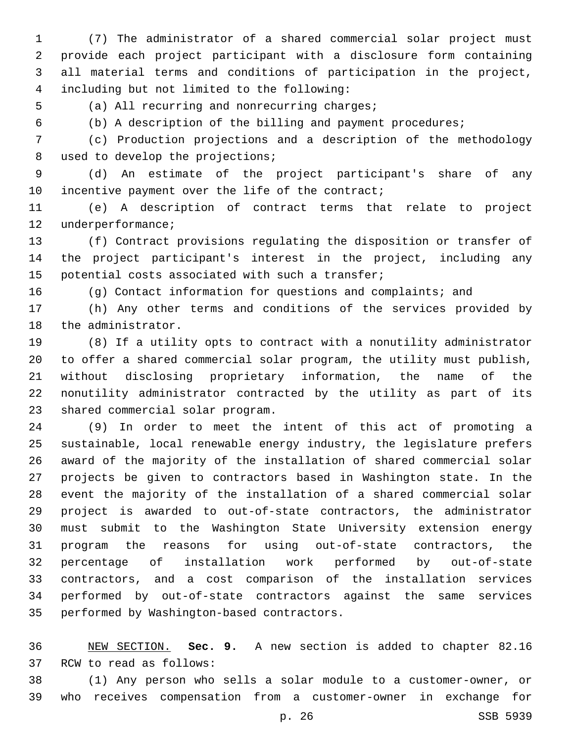(7) The administrator of a shared commercial solar project must provide each project participant with a disclosure form containing all material terms and conditions of participation in the project, including but not limited to the following:4

5 (a) All recurring and nonrecurring charges;

(b) A description of the billing and payment procedures;

 (c) Production projections and a description of the methodology 8 used to develop the projections;

 (d) An estimate of the project participant's share of any 10 incentive payment over the life of the contract;

 (e) A description of contract terms that relate to project 12 underperformance;

 (f) Contract provisions regulating the disposition or transfer of the project participant's interest in the project, including any 15 potential costs associated with such a transfer;

(g) Contact information for questions and complaints; and

 (h) Any other terms and conditions of the services provided by 18 the administrator.

 (8) If a utility opts to contract with a nonutility administrator to offer a shared commercial solar program, the utility must publish, without disclosing proprietary information, the name of the nonutility administrator contracted by the utility as part of its 23 shared commercial solar program.

 (9) In order to meet the intent of this act of promoting a sustainable, local renewable energy industry, the legislature prefers award of the majority of the installation of shared commercial solar projects be given to contractors based in Washington state. In the event the majority of the installation of a shared commercial solar project is awarded to out-of-state contractors, the administrator must submit to the Washington State University extension energy program the reasons for using out-of-state contractors, the percentage of installation work performed by out-of-state contractors, and a cost comparison of the installation services performed by out-of-state contractors against the same services 35 performed by Washington-based contractors.

 NEW SECTION. **Sec. 9.** A new section is added to chapter 82.16 37 RCW to read as follows:

 (1) Any person who sells a solar module to a customer-owner, or who receives compensation from a customer-owner in exchange for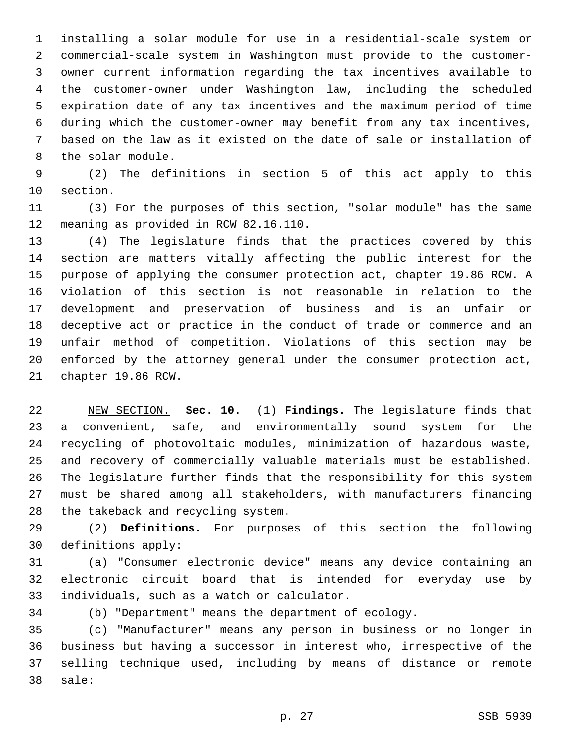installing a solar module for use in a residential-scale system or commercial-scale system in Washington must provide to the customer- owner current information regarding the tax incentives available to the customer-owner under Washington law, including the scheduled expiration date of any tax incentives and the maximum period of time during which the customer-owner may benefit from any tax incentives, based on the law as it existed on the date of sale or installation of 8 the solar module.

 (2) The definitions in section 5 of this act apply to this 10 section.

 (3) For the purposes of this section, "solar module" has the same 12 meaning as provided in RCW 82.16.110.

 (4) The legislature finds that the practices covered by this section are matters vitally affecting the public interest for the purpose of applying the consumer protection act, chapter 19.86 RCW. A violation of this section is not reasonable in relation to the development and preservation of business and is an unfair or deceptive act or practice in the conduct of trade or commerce and an unfair method of competition. Violations of this section may be enforced by the attorney general under the consumer protection act, 21 chapter 19.86 RCW.

 NEW SECTION. **Sec. 10.** (1) **Findings.** The legislature finds that a convenient, safe, and environmentally sound system for the recycling of photovoltaic modules, minimization of hazardous waste, and recovery of commercially valuable materials must be established. The legislature further finds that the responsibility for this system must be shared among all stakeholders, with manufacturers financing the takeback and recycling system.

 (2) **Definitions.** For purposes of this section the following 30 definitions apply:

 (a) "Consumer electronic device" means any device containing an electronic circuit board that is intended for everyday use by 33 individuals, such as a watch or calculator.

(b) "Department" means the department of ecology.

 (c) "Manufacturer" means any person in business or no longer in business but having a successor in interest who, irrespective of the selling technique used, including by means of distance or remote 38 sale: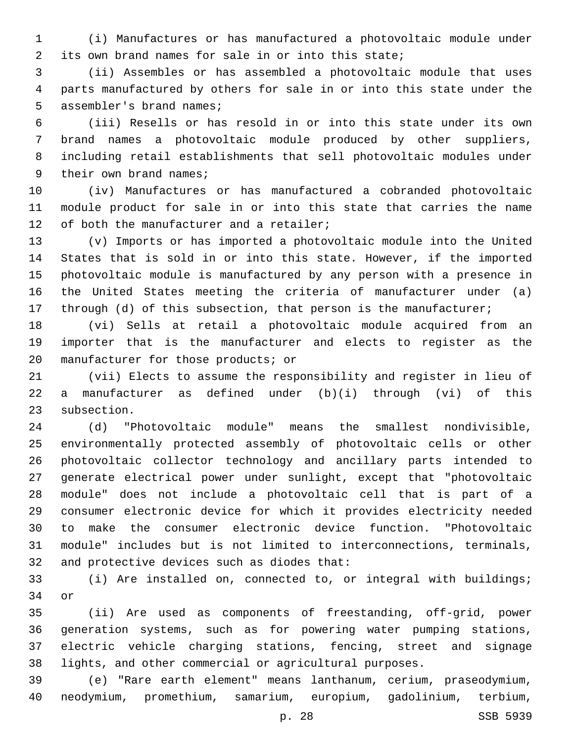(i) Manufactures or has manufactured a photovoltaic module under its own brand names for sale in or into this state;

 (ii) Assembles or has assembled a photovoltaic module that uses parts manufactured by others for sale in or into this state under the 5 assembler's brand names;

 (iii) Resells or has resold in or into this state under its own brand names a photovoltaic module produced by other suppliers, including retail establishments that sell photovoltaic modules under 9 their own brand names;

 (iv) Manufactures or has manufactured a cobranded photovoltaic module product for sale in or into this state that carries the name 12 of both the manufacturer and a retailer;

 (v) Imports or has imported a photovoltaic module into the United States that is sold in or into this state. However, if the imported photovoltaic module is manufactured by any person with a presence in the United States meeting the criteria of manufacturer under (a) 17 through (d) of this subsection, that person is the manufacturer;

 (vi) Sells at retail a photovoltaic module acquired from an importer that is the manufacturer and elects to register as the 20 manufacturer for those products; or

 (vii) Elects to assume the responsibility and register in lieu of a manufacturer as defined under (b)(i) through (vi) of this 23 subsection.

 (d) "Photovoltaic module" means the smallest nondivisible, environmentally protected assembly of photovoltaic cells or other photovoltaic collector technology and ancillary parts intended to generate electrical power under sunlight, except that "photovoltaic module" does not include a photovoltaic cell that is part of a consumer electronic device for which it provides electricity needed to make the consumer electronic device function. "Photovoltaic module" includes but is not limited to interconnections, terminals, 32 and protective devices such as diodes that:

 (i) Are installed on, connected to, or integral with buildings; 34 or

 (ii) Are used as components of freestanding, off-grid, power generation systems, such as for powering water pumping stations, electric vehicle charging stations, fencing, street and signage lights, and other commercial or agricultural purposes.

 (e) "Rare earth element" means lanthanum, cerium, praseodymium, neodymium, promethium, samarium, europium, gadolinium, terbium,

p. 28 SSB 5939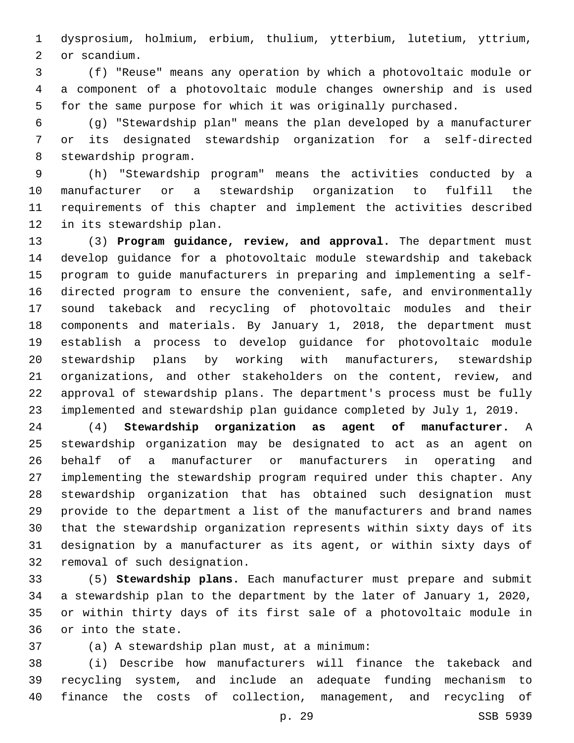dysprosium, holmium, erbium, thulium, ytterbium, lutetium, yttrium, 2 or scandium.

 (f) "Reuse" means any operation by which a photovoltaic module or a component of a photovoltaic module changes ownership and is used for the same purpose for which it was originally purchased.

 (g) "Stewardship plan" means the plan developed by a manufacturer or its designated stewardship organization for a self-directed 8 stewardship program.

 (h) "Stewardship program" means the activities conducted by a manufacturer or a stewardship organization to fulfill the requirements of this chapter and implement the activities described 12 in its stewardship plan.

 (3) **Program guidance, review, and approval.** The department must develop guidance for a photovoltaic module stewardship and takeback program to guide manufacturers in preparing and implementing a self- directed program to ensure the convenient, safe, and environmentally sound takeback and recycling of photovoltaic modules and their components and materials. By January 1, 2018, the department must establish a process to develop guidance for photovoltaic module stewardship plans by working with manufacturers, stewardship organizations, and other stakeholders on the content, review, and approval of stewardship plans. The department's process must be fully implemented and stewardship plan guidance completed by July 1, 2019.

 (4) **Stewardship organization as agent of manufacturer.** A stewardship organization may be designated to act as an agent on behalf of a manufacturer or manufacturers in operating and implementing the stewardship program required under this chapter. Any stewardship organization that has obtained such designation must provide to the department a list of the manufacturers and brand names that the stewardship organization represents within sixty days of its designation by a manufacturer as its agent, or within sixty days of 32 removal of such designation.

 (5) **Stewardship plans.** Each manufacturer must prepare and submit a stewardship plan to the department by the later of January 1, 2020, or within thirty days of its first sale of a photovoltaic module in 36 or into the state.

(a) A stewardship plan must, at a minimum:37

 (i) Describe how manufacturers will finance the takeback and recycling system, and include an adequate funding mechanism to finance the costs of collection, management, and recycling of

p. 29 SSB 5939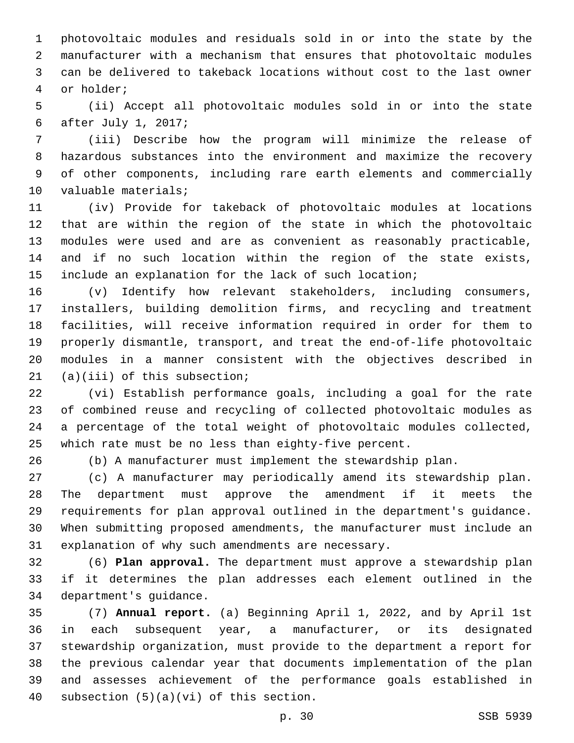photovoltaic modules and residuals sold in or into the state by the manufacturer with a mechanism that ensures that photovoltaic modules can be delivered to takeback locations without cost to the last owner 4 or holder;

 (ii) Accept all photovoltaic modules sold in or into the state after July 1, 2017;6

 (iii) Describe how the program will minimize the release of hazardous substances into the environment and maximize the recovery of other components, including rare earth elements and commercially 10 valuable materials;

 (iv) Provide for takeback of photovoltaic modules at locations that are within the region of the state in which the photovoltaic modules were used and are as convenient as reasonably practicable, and if no such location within the region of the state exists, 15 include an explanation for the lack of such location;

 (v) Identify how relevant stakeholders, including consumers, installers, building demolition firms, and recycling and treatment facilities, will receive information required in order for them to properly dismantle, transport, and treat the end-of-life photovoltaic modules in a manner consistent with the objectives described in  $(1)(iii)$  of this subsection;

 (vi) Establish performance goals, including a goal for the rate of combined reuse and recycling of collected photovoltaic modules as a percentage of the total weight of photovoltaic modules collected, which rate must be no less than eighty-five percent.

(b) A manufacturer must implement the stewardship plan.

 (c) A manufacturer may periodically amend its stewardship plan. The department must approve the amendment if it meets the requirements for plan approval outlined in the department's guidance. When submitting proposed amendments, the manufacturer must include an 31 explanation of why such amendments are necessary.

 (6) **Plan approval.** The department must approve a stewardship plan if it determines the plan addresses each element outlined in the 34 department's guidance.

 (7) **Annual report.** (a) Beginning April 1, 2022, and by April 1st in each subsequent year, a manufacturer, or its designated stewardship organization, must provide to the department a report for the previous calendar year that documents implementation of the plan and assesses achievement of the performance goals established in 40 subsection  $(5)(a)(vi)$  of this section.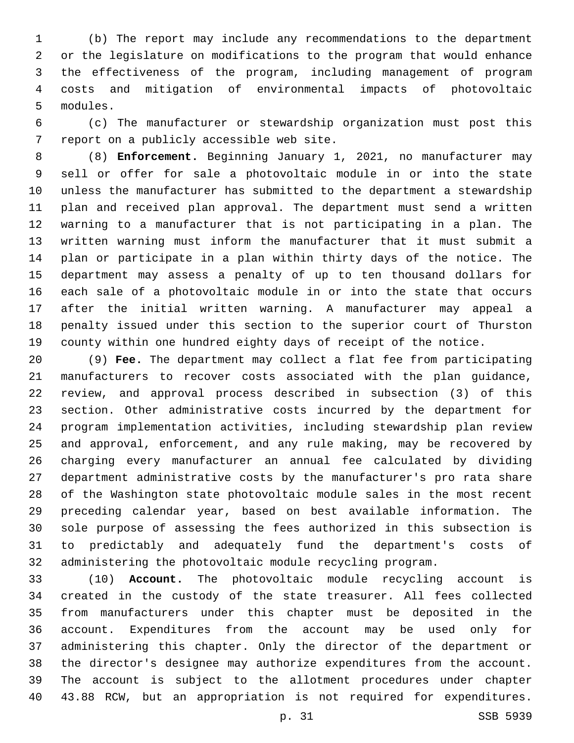(b) The report may include any recommendations to the department or the legislature on modifications to the program that would enhance the effectiveness of the program, including management of program costs and mitigation of environmental impacts of photovoltaic 5 modules.

 (c) The manufacturer or stewardship organization must post this 7 report on a publicly accessible web site.

 (8) **Enforcement.** Beginning January 1, 2021, no manufacturer may sell or offer for sale a photovoltaic module in or into the state unless the manufacturer has submitted to the department a stewardship plan and received plan approval. The department must send a written warning to a manufacturer that is not participating in a plan. The written warning must inform the manufacturer that it must submit a plan or participate in a plan within thirty days of the notice. The department may assess a penalty of up to ten thousand dollars for each sale of a photovoltaic module in or into the state that occurs after the initial written warning. A manufacturer may appeal a penalty issued under this section to the superior court of Thurston county within one hundred eighty days of receipt of the notice.

 (9) **Fee.** The department may collect a flat fee from participating manufacturers to recover costs associated with the plan guidance, review, and approval process described in subsection (3) of this section. Other administrative costs incurred by the department for program implementation activities, including stewardship plan review and approval, enforcement, and any rule making, may be recovered by charging every manufacturer an annual fee calculated by dividing department administrative costs by the manufacturer's pro rata share of the Washington state photovoltaic module sales in the most recent preceding calendar year, based on best available information. The sole purpose of assessing the fees authorized in this subsection is to predictably and adequately fund the department's costs of administering the photovoltaic module recycling program.

 (10) **Account.** The photovoltaic module recycling account is created in the custody of the state treasurer. All fees collected from manufacturers under this chapter must be deposited in the account. Expenditures from the account may be used only for administering this chapter. Only the director of the department or the director's designee may authorize expenditures from the account. The account is subject to the allotment procedures under chapter 43.88 RCW, but an appropriation is not required for expenditures.

p. 31 SSB 5939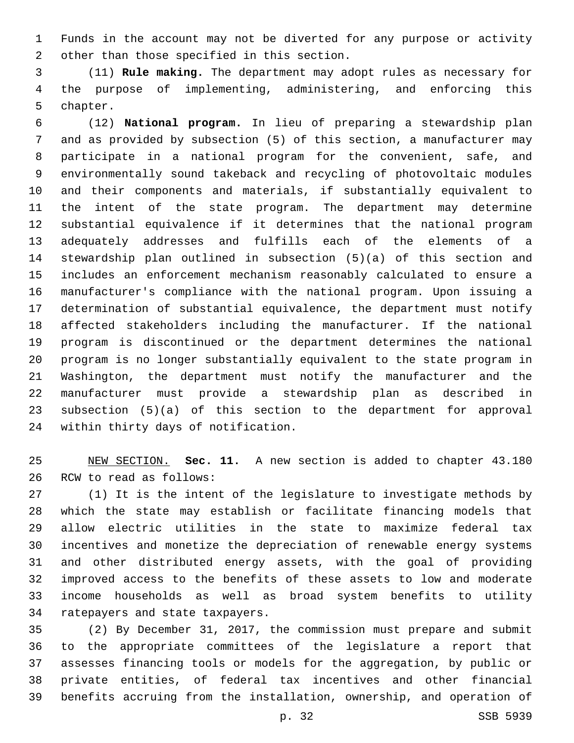Funds in the account may not be diverted for any purpose or activity 2 other than those specified in this section.

 (11) **Rule making.** The department may adopt rules as necessary for the purpose of implementing, administering, and enforcing this 5 chapter.

 (12) **National program.** In lieu of preparing a stewardship plan and as provided by subsection (5) of this section, a manufacturer may participate in a national program for the convenient, safe, and environmentally sound takeback and recycling of photovoltaic modules and their components and materials, if substantially equivalent to the intent of the state program. The department may determine substantial equivalence if it determines that the national program adequately addresses and fulfills each of the elements of a stewardship plan outlined in subsection (5)(a) of this section and includes an enforcement mechanism reasonably calculated to ensure a manufacturer's compliance with the national program. Upon issuing a determination of substantial equivalence, the department must notify affected stakeholders including the manufacturer. If the national program is discontinued or the department determines the national program is no longer substantially equivalent to the state program in Washington, the department must notify the manufacturer and the manufacturer must provide a stewardship plan as described in subsection (5)(a) of this section to the department for approval 24 within thirty days of notification.

 NEW SECTION. **Sec. 11.** A new section is added to chapter 43.180 26 RCW to read as follows:

 (1) It is the intent of the legislature to investigate methods by which the state may establish or facilitate financing models that allow electric utilities in the state to maximize federal tax incentives and monetize the depreciation of renewable energy systems and other distributed energy assets, with the goal of providing improved access to the benefits of these assets to low and moderate income households as well as broad system benefits to utility 34 ratepayers and state taxpayers.

 (2) By December 31, 2017, the commission must prepare and submit to the appropriate committees of the legislature a report that assesses financing tools or models for the aggregation, by public or private entities, of federal tax incentives and other financial benefits accruing from the installation, ownership, and operation of

p. 32 SSB 5939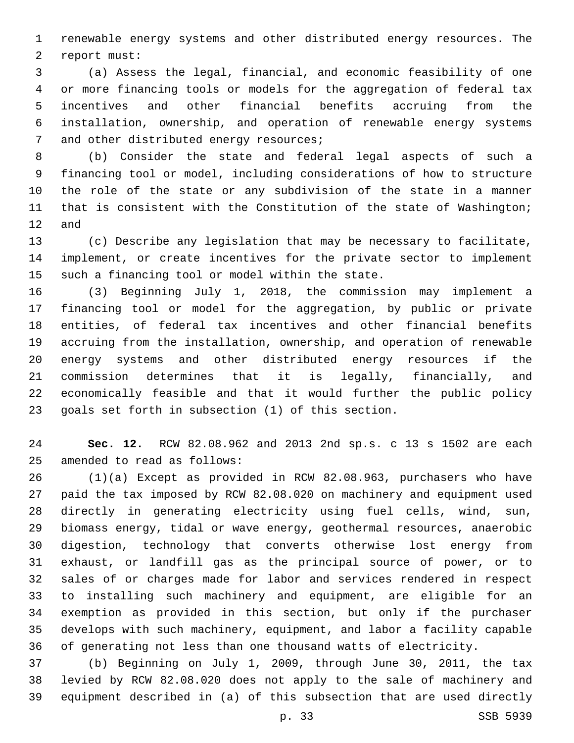renewable energy systems and other distributed energy resources. The 2 report must:

 (a) Assess the legal, financial, and economic feasibility of one or more financing tools or models for the aggregation of federal tax incentives and other financial benefits accruing from the installation, ownership, and operation of renewable energy systems 7 and other distributed energy resources;

 (b) Consider the state and federal legal aspects of such a financing tool or model, including considerations of how to structure the role of the state or any subdivision of the state in a manner that is consistent with the Constitution of the state of Washington; and

 (c) Describe any legislation that may be necessary to facilitate, implement, or create incentives for the private sector to implement 15 such a financing tool or model within the state.

 (3) Beginning July 1, 2018, the commission may implement a financing tool or model for the aggregation, by public or private entities, of federal tax incentives and other financial benefits accruing from the installation, ownership, and operation of renewable energy systems and other distributed energy resources if the commission determines that it is legally, financially, and economically feasible and that it would further the public policy goals set forth in subsection (1) of this section.

 **Sec. 12.** RCW 82.08.962 and 2013 2nd sp.s. c 13 s 1502 are each 25 amended to read as follows:

 (1)(a) Except as provided in RCW 82.08.963, purchasers who have paid the tax imposed by RCW 82.08.020 on machinery and equipment used directly in generating electricity using fuel cells, wind, sun, biomass energy, tidal or wave energy, geothermal resources, anaerobic digestion, technology that converts otherwise lost energy from exhaust, or landfill gas as the principal source of power, or to sales of or charges made for labor and services rendered in respect to installing such machinery and equipment, are eligible for an exemption as provided in this section, but only if the purchaser develops with such machinery, equipment, and labor a facility capable of generating not less than one thousand watts of electricity.

 (b) Beginning on July 1, 2009, through June 30, 2011, the tax levied by RCW 82.08.020 does not apply to the sale of machinery and equipment described in (a) of this subsection that are used directly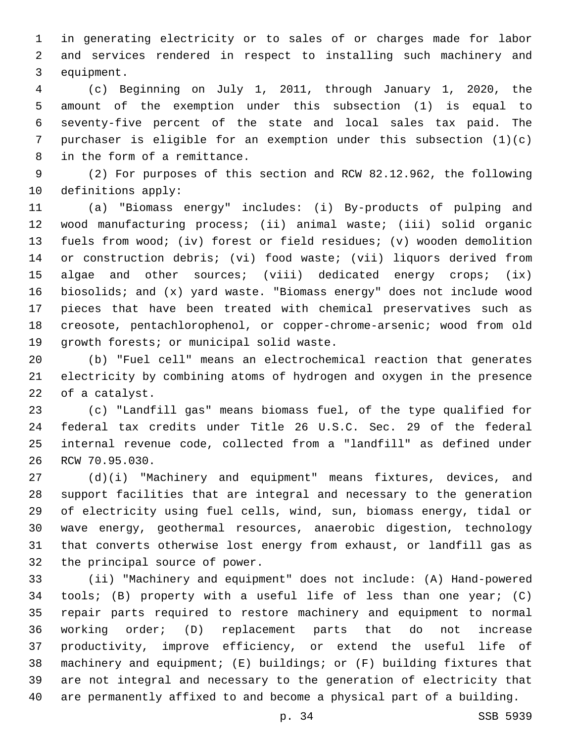in generating electricity or to sales of or charges made for labor and services rendered in respect to installing such machinery and 3 equipment.

 (c) Beginning on July 1, 2011, through January 1, 2020, the amount of the exemption under this subsection (1) is equal to seventy-five percent of the state and local sales tax paid. The purchaser is eligible for an exemption under this subsection (1)(c) 8 in the form of a remittance.

 (2) For purposes of this section and RCW 82.12.962, the following 10 definitions apply:

 (a) "Biomass energy" includes: (i) By-products of pulping and wood manufacturing process; (ii) animal waste; (iii) solid organic fuels from wood; (iv) forest or field residues; (v) wooden demolition or construction debris; (vi) food waste; (vii) liquors derived from algae and other sources; (viii) dedicated energy crops; (ix) biosolids; and (x) yard waste. "Biomass energy" does not include wood pieces that have been treated with chemical preservatives such as creosote, pentachlorophenol, or copper-chrome-arsenic; wood from old 19 qrowth forests; or municipal solid waste.

 (b) "Fuel cell" means an electrochemical reaction that generates electricity by combining atoms of hydrogen and oxygen in the presence 22 of a catalyst.

 (c) "Landfill gas" means biomass fuel, of the type qualified for federal tax credits under Title 26 U.S.C. Sec. 29 of the federal internal revenue code, collected from a "landfill" as defined under 26 RCW 70.95.030.

 (d)(i) "Machinery and equipment" means fixtures, devices, and support facilities that are integral and necessary to the generation of electricity using fuel cells, wind, sun, biomass energy, tidal or wave energy, geothermal resources, anaerobic digestion, technology that converts otherwise lost energy from exhaust, or landfill gas as 32 the principal source of power.

 (ii) "Machinery and equipment" does not include: (A) Hand-powered tools; (B) property with a useful life of less than one year; (C) repair parts required to restore machinery and equipment to normal working order; (D) replacement parts that do not increase productivity, improve efficiency, or extend the useful life of machinery and equipment; (E) buildings; or (F) building fixtures that are not integral and necessary to the generation of electricity that are permanently affixed to and become a physical part of a building.

p. 34 SSB 5939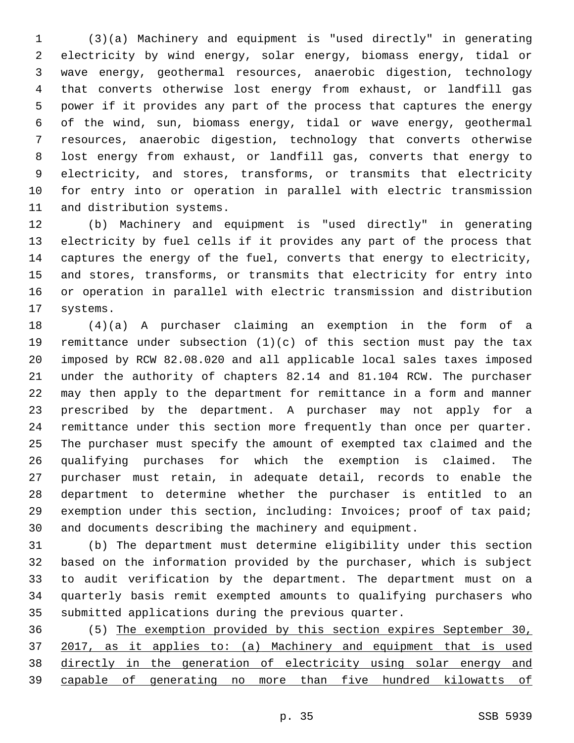(3)(a) Machinery and equipment is "used directly" in generating electricity by wind energy, solar energy, biomass energy, tidal or wave energy, geothermal resources, anaerobic digestion, technology that converts otherwise lost energy from exhaust, or landfill gas power if it provides any part of the process that captures the energy of the wind, sun, biomass energy, tidal or wave energy, geothermal resources, anaerobic digestion, technology that converts otherwise lost energy from exhaust, or landfill gas, converts that energy to electricity, and stores, transforms, or transmits that electricity for entry into or operation in parallel with electric transmission 11 and distribution systems.

 (b) Machinery and equipment is "used directly" in generating electricity by fuel cells if it provides any part of the process that captures the energy of the fuel, converts that energy to electricity, and stores, transforms, or transmits that electricity for entry into or operation in parallel with electric transmission and distribution 17 systems.

 (4)(a) A purchaser claiming an exemption in the form of a remittance under subsection (1)(c) of this section must pay the tax imposed by RCW 82.08.020 and all applicable local sales taxes imposed under the authority of chapters 82.14 and 81.104 RCW. The purchaser may then apply to the department for remittance in a form and manner prescribed by the department. A purchaser may not apply for a remittance under this section more frequently than once per quarter. The purchaser must specify the amount of exempted tax claimed and the qualifying purchases for which the exemption is claimed. The purchaser must retain, in adequate detail, records to enable the department to determine whether the purchaser is entitled to an exemption under this section, including: Invoices; proof of tax paid; and documents describing the machinery and equipment.

 (b) The department must determine eligibility under this section based on the information provided by the purchaser, which is subject to audit verification by the department. The department must on a quarterly basis remit exempted amounts to qualifying purchasers who submitted applications during the previous quarter.

 (5) The exemption provided by this section expires September 30, 2017, as it applies to: (a) Machinery and equipment that is used directly in the generation of electricity using solar energy and capable of generating no more than five hundred kilowatts of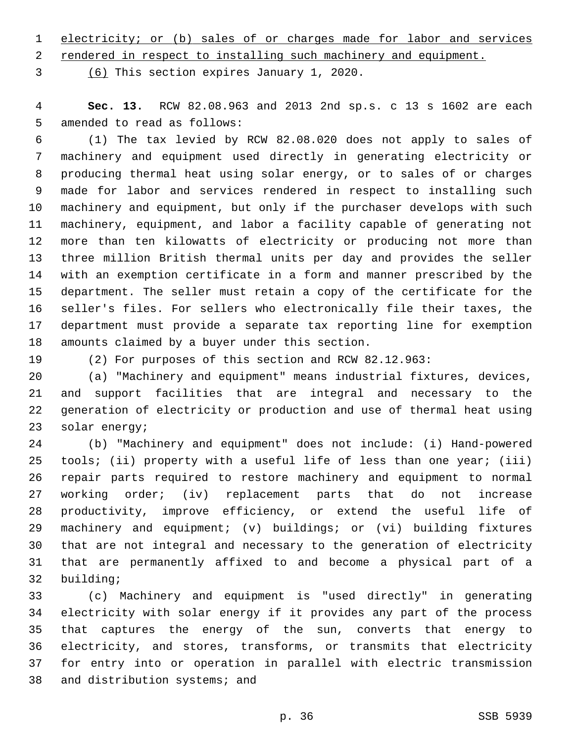electricity; or (b) sales of or charges made for labor and services

rendered in respect to installing such machinery and equipment.

(6) This section expires January 1, 2020.3

 **Sec. 13.** RCW 82.08.963 and 2013 2nd sp.s. c 13 s 1602 are each 5 amended to read as follows:

 (1) The tax levied by RCW 82.08.020 does not apply to sales of machinery and equipment used directly in generating electricity or producing thermal heat using solar energy, or to sales of or charges made for labor and services rendered in respect to installing such machinery and equipment, but only if the purchaser develops with such machinery, equipment, and labor a facility capable of generating not more than ten kilowatts of electricity or producing not more than three million British thermal units per day and provides the seller with an exemption certificate in a form and manner prescribed by the department. The seller must retain a copy of the certificate for the seller's files. For sellers who electronically file their taxes, the department must provide a separate tax reporting line for exemption 18 amounts claimed by a buyer under this section.

(2) For purposes of this section and RCW 82.12.963:

 (a) "Machinery and equipment" means industrial fixtures, devices, and support facilities that are integral and necessary to the generation of electricity or production and use of thermal heat using 23 solar energy;

 (b) "Machinery and equipment" does not include: (i) Hand-powered 25 tools; (ii) property with a useful life of less than one year; (iii) repair parts required to restore machinery and equipment to normal working order; (iv) replacement parts that do not increase productivity, improve efficiency, or extend the useful life of machinery and equipment; (v) buildings; or (vi) building fixtures that are not integral and necessary to the generation of electricity that are permanently affixed to and become a physical part of a 32 building;

 (c) Machinery and equipment is "used directly" in generating electricity with solar energy if it provides any part of the process that captures the energy of the sun, converts that energy to electricity, and stores, transforms, or transmits that electricity for entry into or operation in parallel with electric transmission 38 and distribution systems; and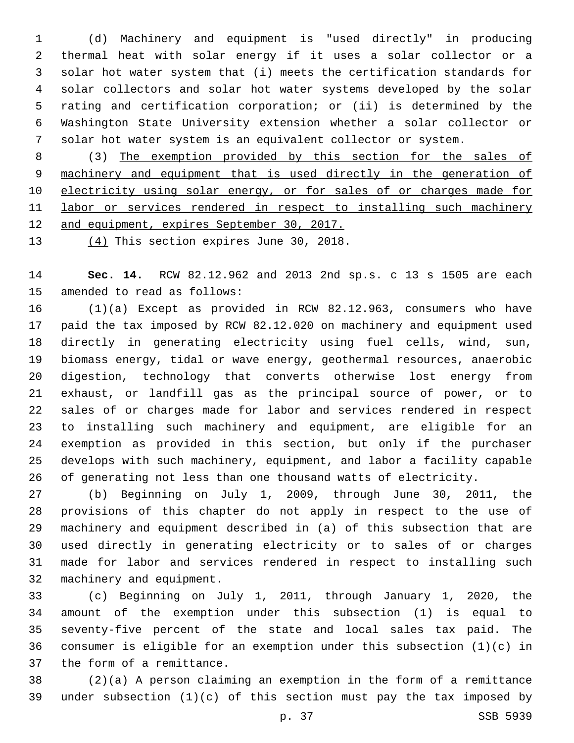(d) Machinery and equipment is "used directly" in producing thermal heat with solar energy if it uses a solar collector or a solar hot water system that (i) meets the certification standards for solar collectors and solar hot water systems developed by the solar rating and certification corporation; or (ii) is determined by the Washington State University extension whether a solar collector or solar hot water system is an equivalent collector or system.

 (3) The exemption provided by this section for the sales of machinery and equipment that is used directly in the generation of 10 electricity using solar energy, or for sales of or charges made for labor or services rendered in respect to installing such machinery and equipment, expires September 30, 2017.

13  $(4)$  This section expires June 30, 2018.

 **Sec. 14.** RCW 82.12.962 and 2013 2nd sp.s. c 13 s 1505 are each 15 amended to read as follows:

 (1)(a) Except as provided in RCW 82.12.963, consumers who have paid the tax imposed by RCW 82.12.020 on machinery and equipment used directly in generating electricity using fuel cells, wind, sun, biomass energy, tidal or wave energy, geothermal resources, anaerobic digestion, technology that converts otherwise lost energy from exhaust, or landfill gas as the principal source of power, or to sales of or charges made for labor and services rendered in respect to installing such machinery and equipment, are eligible for an exemption as provided in this section, but only if the purchaser develops with such machinery, equipment, and labor a facility capable of generating not less than one thousand watts of electricity.

 (b) Beginning on July 1, 2009, through June 30, 2011, the provisions of this chapter do not apply in respect to the use of machinery and equipment described in (a) of this subsection that are used directly in generating electricity or to sales of or charges made for labor and services rendered in respect to installing such 32 machinery and equipment.

 (c) Beginning on July 1, 2011, through January 1, 2020, the amount of the exemption under this subsection (1) is equal to seventy-five percent of the state and local sales tax paid. The consumer is eligible for an exemption under this subsection (1)(c) in 37 the form of a remittance.

 (2)(a) A person claiming an exemption in the form of a remittance under subsection (1)(c) of this section must pay the tax imposed by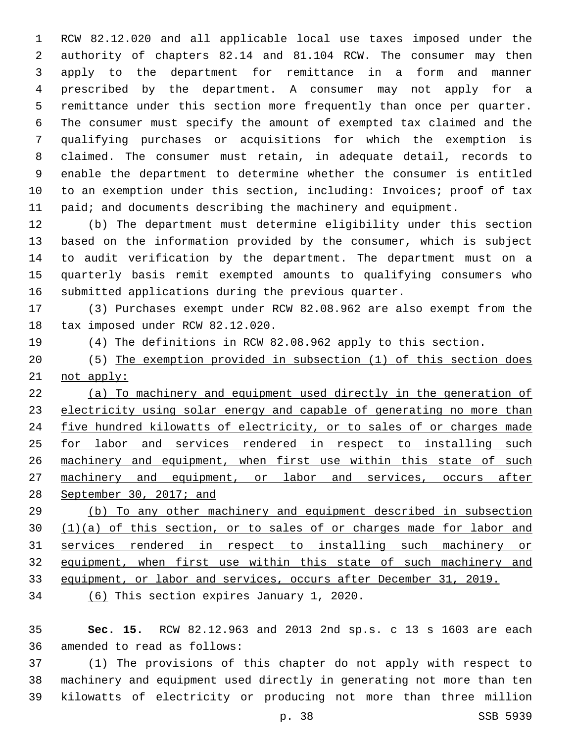RCW 82.12.020 and all applicable local use taxes imposed under the authority of chapters 82.14 and 81.104 RCW. The consumer may then apply to the department for remittance in a form and manner prescribed by the department. A consumer may not apply for a remittance under this section more frequently than once per quarter. The consumer must specify the amount of exempted tax claimed and the qualifying purchases or acquisitions for which the exemption is claimed. The consumer must retain, in adequate detail, records to enable the department to determine whether the consumer is entitled to an exemption under this section, including: Invoices; proof of tax 11 paid; and documents describing the machinery and equipment.

 (b) The department must determine eligibility under this section based on the information provided by the consumer, which is subject to audit verification by the department. The department must on a quarterly basis remit exempted amounts to qualifying consumers who submitted applications during the previous quarter.

 (3) Purchases exempt under RCW 82.08.962 are also exempt from the 18 tax imposed under RCW 82.12.020.

- (4) The definitions in RCW 82.08.962 apply to this section.
- (5) The exemption provided in subsection (1) of this section does not apply:

 (a) To machinery and equipment used directly in the generation of electricity using solar energy and capable of generating no more than five hundred kilowatts of electricity, or to sales of or charges made 25 for labor and services rendered in respect to installing such 26 machinery and equipment, when first use within this state of such machinery and equipment, or labor and services, occurs after September 30, 2017; and

 (b) To any other machinery and equipment described in subsection 30 (1)(a) of this section, or to sales of or charges made for labor and services rendered in respect to installing such machinery or equipment, when first use within this state of such machinery and equipment, or labor and services, occurs after December 31, 2019.

34 (6) This section expires January 1, 2020.

 **Sec. 15.** RCW 82.12.963 and 2013 2nd sp.s. c 13 s 1603 are each 36 amended to read as follows:

 (1) The provisions of this chapter do not apply with respect to machinery and equipment used directly in generating not more than ten kilowatts of electricity or producing not more than three million